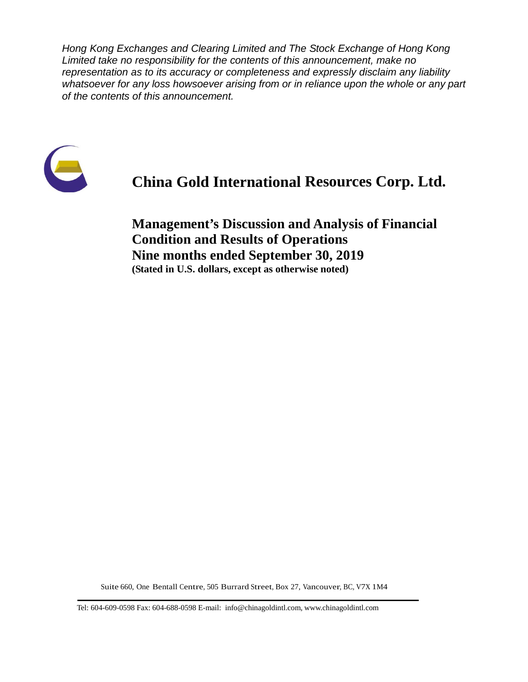*Hong Kong Exchanges and Clearing Limited and The Stock Exchange of Hong Kong Limited take no responsibility for the contents of this announcement, make no representation as to its accuracy or completeness and expressly disclaim any liability whatsoever for any loss howsoever arising from or in reliance upon the whole or any part of the contents of this announcement.*



# **China Gold International Resources Corp. Ltd.**

**Management's Discussion and Analysis of Financial Condition and Results of Operations Nine months ended September 30, 2019 (Stated in U.S. dollars, except as otherwise noted)**

Suite 660, One Bentall Centre, 505 Burrard Street, Box 27, Vancouver, BC, V7X 1M4

Tel: 604-609-0598 Fax: 604-688-0598 E-mail: info@chinagoldintl.com, [www.chinagoldintl.com](http://www.chinagoldintl.com/)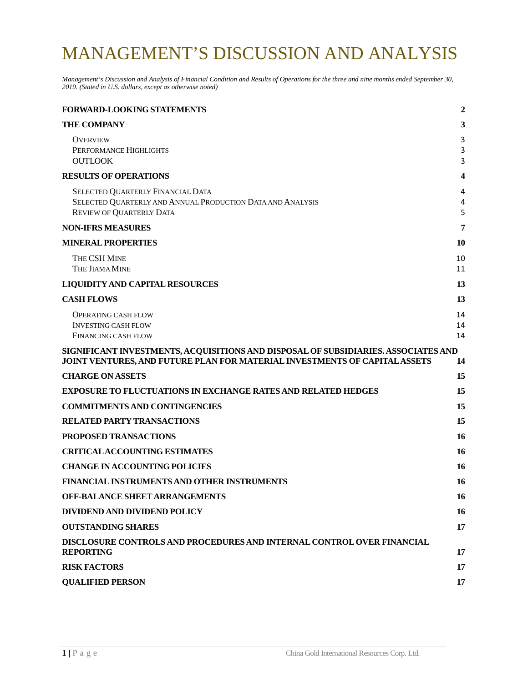# MANAGEMENT'S DISCUSSION AND ANALYSIS

*Management's Discussion and Analysis of Financial Condition and Results of Operations for the three and nine months ended September 30, 2019. (Stated in U.S. dollars, except as otherwise noted)*

| <b>FORWARD-LOOKING STATEMENTS</b>                                                                                                                                | $\overline{2}$ |
|------------------------------------------------------------------------------------------------------------------------------------------------------------------|----------------|
| <b>THE COMPANY</b>                                                                                                                                               | 3              |
| <b>OVERVIEW</b><br>PERFORMANCE HIGHLIGHTS<br><b>OUTLOOK</b>                                                                                                      | 3<br>3<br>3    |
| <b>RESULTS OF OPERATIONS</b>                                                                                                                                     | 4              |
| SELECTED QUARTERLY FINANCIAL DATA<br>SELECTED QUARTERLY AND ANNUAL PRODUCTION DATA AND ANALYSIS<br><b>REVIEW OF QUARTERLY DATA</b>                               | 4<br>4<br>5    |
| <b>NON-IFRS MEASURES</b>                                                                                                                                         | 7              |
| <b>MINERAL PROPERTIES</b>                                                                                                                                        | 10             |
| THE CSH MINE<br>THE JIAMA MINE                                                                                                                                   | 10<br>11       |
| <b>LIQUIDITY AND CAPITAL RESOURCES</b>                                                                                                                           | 13             |
| <b>CASH FLOWS</b>                                                                                                                                                | 13             |
| <b>OPERATING CASH FLOW</b><br><b>INVESTING CASH FLOW</b><br><b>FINANCING CASH FLOW</b>                                                                           | 14<br>14<br>14 |
| SIGNIFICANT INVESTMENTS, ACQUISITIONS AND DISPOSAL OF SUBSIDIARIES. ASSOCIATES AND<br>JOINT VENTURES, AND FUTURE PLAN FOR MATERIAL INVESTMENTS OF CAPITAL ASSETS | 14             |
| <b>CHARGE ON ASSETS</b>                                                                                                                                          | 15             |
| <b>EXPOSURE TO FLUCTUATIONS IN EXCHANGE RATES AND RELATED HEDGES</b>                                                                                             | 15             |
| <b>COMMITMENTS AND CONTINGENCIES</b>                                                                                                                             | 15             |
| <b>RELATED PARTY TRANSACTIONS</b>                                                                                                                                | 15             |
| PROPOSED TRANSACTIONS                                                                                                                                            | 16             |
| <b>CRITICALACCOUNTING ESTIMATES</b>                                                                                                                              | 16             |
| <b>CHANGE IN ACCOUNTING POLICIES</b>                                                                                                                             | 16             |
| FINANCIAL INSTRUMENTS AND OTHER INSTRUMENTS                                                                                                                      | <b>16</b>      |
| <b>OFF-BALANCE SHEET ARRANGEMENTS</b>                                                                                                                            | 16             |
| DIVIDEND AND DIVIDEND POLICY                                                                                                                                     | 16             |
| <b>OUTSTANDING SHARES</b>                                                                                                                                        | 17             |
| DISCLOSURE CONTROLS AND PROCEDURES AND INTERNAL CONTROL OVER FINANCIAL<br><b>REPORTING</b>                                                                       | 17             |
| <b>RISK FACTORS</b>                                                                                                                                              | 17             |
| <b>QUALIFIED PERSON</b>                                                                                                                                          | 17             |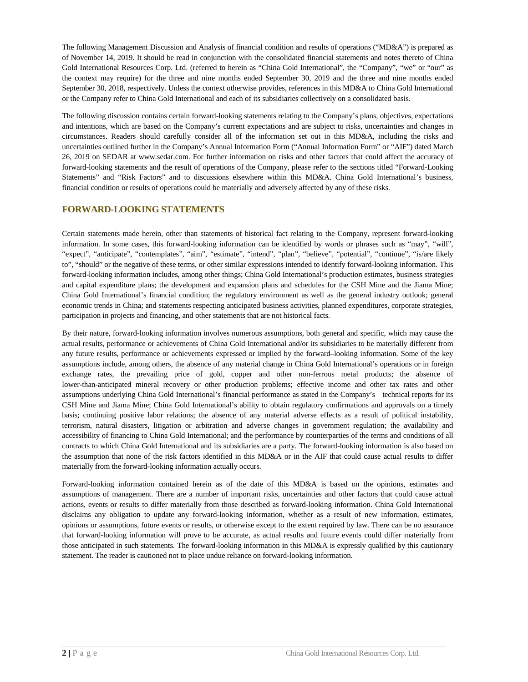The following Management Discussion and Analysis of financial condition and results of operations ("MD&A") is prepared as of November 14, 2019. It should be read in conjunction with the consolidated financial statements and notes thereto of China Gold International Resources Corp. Ltd. (referred to herein as "China Gold International", the "Company", "we" or "our" as the context may require) for the three and nine months ended September 30, 2019 and the three and nine months ended September 30, 2018, respectively. Unless the context otherwise provides, references in this MD&A to China Gold International or the Company refer to China Gold International and each of its subsidiaries collectively on a consolidated basis.

The following discussion contains certain forward-looking statements relating to the Company's plans, objectives, expectations and intentions, which are based on the Company's current expectations and are subject to risks, uncertainties and changes in circumstances. Readers should carefully consider all of the information set out in this MD&A, including the risks and uncertainties outlined further in the Company's Annual Information Form ("Annual Information Form" or "AIF") dated March 26, 2019 on SEDAR at www.sedar.com. For further information on risks and other factors that could affect the accuracy of forward-looking statements and the result of operations of the Company, please refer to the sections titled "Forward-Looking Statements" and "Risk Factors" and to discussions elsewhere within this MD&A. China Gold International's business, financial condition or results of operations could be materially and adversely affected by any of these risks.

#### <span id="page-2-0"></span>**FORWARD-LOOKING STATEMENTS**

Certain statements made herein, other than statements of historical fact relating to the Company, represent forward-looking information. In some cases, this forward-looking information can be identified by words or phrases such as "may", "will", "expect", "anticipate", "contemplates", "aim", "estimate", "intend", "plan", "believe", "potential", "continue", "is/are likely to", "should" or the negative of these terms, or other similar expressions intended to identify forward-looking information. This forward-looking information includes, among other things; China Gold International's production estimates, business strategies and capital expenditure plans; the development and expansion plans and schedules for the CSH Mine and the Jiama Mine; China Gold International's financial condition; the regulatory environment as well as the general industry outlook; general economic trends in China; and statements respecting anticipated business activities, planned expenditures, corporate strategies, participation in projects and financing, and other statements that are not historical facts.

By their nature, forward-looking information involves numerous assumptions, both general and specific, which may cause the actual results, performance or achievements of China Gold International and/or its subsidiaries to be materially different from any future results, performance or achievements expressed or implied by the forward–looking information. Some of the key assumptions include, among others, the absence of any material change in China Gold International's operations or in foreign exchange rates, the prevailing price of gold, copper and other non-ferrous metal products; the absence of lower-than-anticipated mineral recovery or other production problems; effective income and other tax rates and other assumptions underlying China Gold International's financial performance as stated in the Company's technical reports for its CSH Mine and Jiama Mine; China Gold International's ability to obtain regulatory confirmations and approvals on a timely basis; continuing positive labor relations; the absence of any material adverse effects as a result of political instability, terrorism, natural disasters, litigation or arbitration and adverse changes in government regulation; the availability and accessibility of financing to China Gold International; and the performance by counterparties of the terms and conditions of all contracts to which China Gold International and its subsidiaries are a party. The forward-looking information is also based on the assumption that none of the risk factors identified in this MD&A or in the AIF that could cause actual results to differ materially from the forward-looking information actually occurs.

Forward-looking information contained herein as of the date of this MD&A is based on the opinions, estimates and assumptions of management. There are a number of important risks, uncertainties and other factors that could cause actual actions, events or results to differ materially from those described as forward-looking information. China Gold International disclaims any obligation to update any forward-looking information, whether as a result of new information, estimates, opinions or assumptions, future events or results, or otherwise except to the extent required by law. There can be no assurance that forward-looking information will prove to be accurate, as actual results and future events could differ materially from those anticipated in such statements. The forward-looking information in this MD&A is expressly qualified by this cautionary statement. The reader is cautioned not to place undue reliance on forward-looking information.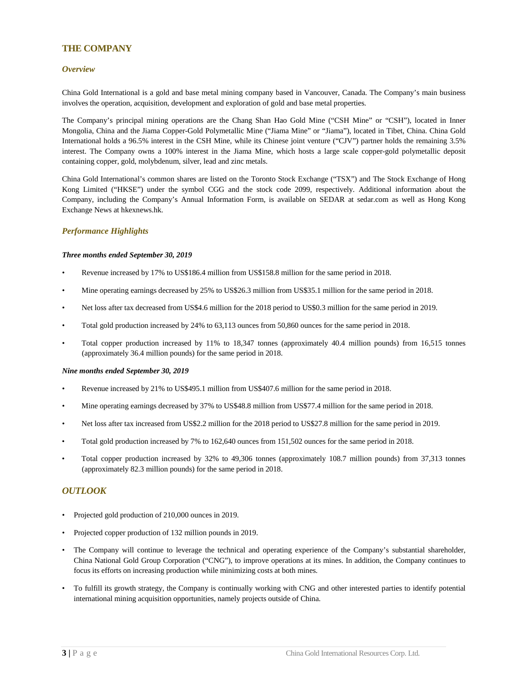#### <span id="page-3-0"></span>**THE COMPANY**

#### <span id="page-3-1"></span>*Overview*

China Gold International is a gold and base metal mining company based in Vancouver, Canada. The Company's main business involves the operation, acquisition, development and exploration of gold and base metal properties.

The Company's principal mining operations are the Chang Shan Hao Gold Mine ("CSH Mine" or "CSH"), located in Inner Mongolia, China and the Jiama Copper-Gold Polymetallic Mine ("Jiama Mine" or "Jiama"), located in Tibet, China. China Gold International holds a 96.5% interest in the CSH Mine, while its Chinese joint venture ("CJV") partner holds the remaining 3.5% interest. The Company owns a 100% interest in the Jiama Mine, which hosts a large scale copper-gold polymetallic deposit containing copper, gold, molybdenum, silver, lead and zinc metals.

China Gold International's common shares are listed on the Toronto Stock Exchange ("TSX") and The Stock Exchange of Hong Kong Limited ("HKSE") under the symbol CGG and the stock code 2099, respectively. Additional information about the Company, including the Company's Annual Information Form, is available on SEDAR at sedar.com as well as Hong Kong Exchange News at hkexnews.hk.

#### <span id="page-3-2"></span>*Performance Highlights*

#### *Three months ended September 30, 2019*

- Revenue increased by 17% to US\$186.4 million from US\$158.8 million for the same period in 2018.
- Mine operating earnings decreased by 25% to US\$26.3 million from US\$35.1 million for the same period in 2018.
- Net loss after tax decreased from US\$4.6 million for the 2018 period to US\$0.3 million for the same period in 2019.
- Total gold production increased by 24% to 63,113 ounces from 50,860 ounces for the same period in 2018.
- Total copper production increased by 11% to 18,347 tonnes (approximately 40.4 million pounds) from 16,515 tonnes (approximately 36.4 million pounds) for the same period in 2018.

#### *Nine months ended September 30, 2019*

- Revenue increased by 21% to US\$495.1 million from US\$407.6 million for the same period in 2018.
- Mine operating earnings decreased by 37% to US\$48.8 million from US\$77.4 million for the same period in 2018.
- Net loss after tax increased from US\$2.2 million for the 2018 period to US\$27.8 million for the same period in 2019.
- Total gold production increased by 7% to 162,640 ounces from 151,502 ounces for the same period in 2018.
- Total copper production increased by 32% to 49,306 tonnes (approximately 108.7 million pounds) from 37,313 tonnes (approximately 82.3 million pounds) for the same period in 2018.

#### <span id="page-3-3"></span>*OUTLOOK*

- Projected gold production of 210,000 ounces in 2019.
- Projected copper production of 132 million pounds in 2019.
- The Company will continue to leverage the technical and operating experience of the Company's substantial shareholder, China National Gold Group Corporation ("CNG"), to improve operations at its mines. In addition, the Company continues to focus its efforts on increasing production while minimizing costs at both mines.
- To fulfill its growth strategy, the Company is continually working with CNG and other interested parties to identify potential international mining acquisition opportunities, namely projects outside of China.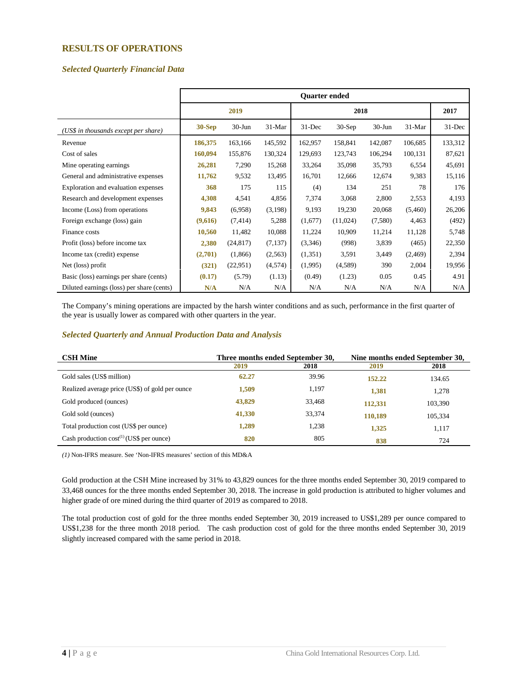#### <span id="page-4-0"></span>**RESULTS OF OPERATIONS**

#### <span id="page-4-1"></span>*Selected Quarterly Financial Data*

|                                           |          |            |          | <b>Ouarter ended</b> |          |           |          |         |
|-------------------------------------------|----------|------------|----------|----------------------|----------|-----------|----------|---------|
|                                           |          | 2019       |          |                      | 2017     |           |          |         |
| (US\$ in thousands except per share)      | $30-Sep$ | $30 - Jun$ | $31-Mar$ | $31 - Dec$           | $30-Sep$ | $30-J$ un | $31-Mar$ | 31-Dec  |
| Revenue                                   | 186,375  | 163,166    | 145,592  | 162,957              | 158,841  | 142,087   | 106,685  | 133,312 |
| Cost of sales                             | 160,094  | 155,876    | 130,324  | 129,693              | 123,743  | 106,294   | 100,131  | 87,621  |
| Mine operating earnings                   | 26,281   | 7,290      | 15,268   | 33,264               | 35,098   | 35,793    | 6,554    | 45,691  |
| General and administrative expenses       | 11,762   | 9,532      | 13,495   | 16,701               | 12,666   | 12,674    | 9,383    | 15,116  |
| Exploration and evaluation expenses       | 368      | 175        | 115      | (4)                  | 134      | 251       | 78       | 176     |
| Research and development expenses         | 4,308    | 4,541      | 4,856    | 7,374                | 3,068    | 2,800     | 2,553    | 4,193   |
| Income (Loss) from operations             | 9,843    | (6,958)    | (3,198)  | 9,193                | 19,230   | 20,068    | (5,460)  | 26,206  |
| Foreign exchange (loss) gain              | (9,616)  | (7, 414)   | 5,288    | (1,677)              | (11,024) | (7,580)   | 4,463    | (492)   |
| Finance costs                             | 10,560   | 11,482     | 10,088   | 11,224               | 10,909   | 11,214    | 11,128   | 5,748   |
| Profit (loss) before income tax           | 2,380    | (24, 817)  | (7, 137) | (3,346)              | (998)    | 3,839     | (465)    | 22,350  |
| Income tax (credit) expense               | (2,701)  | (1,866)    | (2,563)  | (1,351)              | 3,591    | 3,449     | (2, 469) | 2,394   |
| Net (loss) profit                         | (321)    | (22,951)   | (4,574)  | (1,995)              | (4,589)  | 390       | 2,004    | 19,956  |
| Basic (loss) earnings per share (cents)   | (0.17)   | (5.79)     | (1.13)   | (0.49)               | (1.23)   | 0.05      | 0.45     | 4.91    |
| Diluted earnings (loss) per share (cents) | N/A      | N/A        | N/A      | N/A                  | N/A      | N/A       | N/A      | N/A     |

The Company's mining operations are impacted by the harsh winter conditions and as such, performance in the first quarter of the year is usually lower as compared with other quarters in the year.

#### <span id="page-4-2"></span>*Selected Quarterly and Annual Production Data and Analysis*

| <b>CSH Mine</b>                                 | Three months ended September 30,<br>Nine months ended September 30, |        |         |         |
|-------------------------------------------------|---------------------------------------------------------------------|--------|---------|---------|
|                                                 | 2019                                                                | 2018   | 2019    | 2018    |
| Gold sales (US\$ million)                       | 62.27                                                               | 39.96  | 152.22  | 134.65  |
| Realized average price (US\$) of gold per ounce | 1,509                                                               | 1,197  | 1,381   | 1.278   |
| Gold produced (ounces)                          | 43,829                                                              | 33,468 | 112,331 | 103,390 |
| Gold sold (ounces)                              | 41,330                                                              | 33,374 | 110,189 | 105,334 |
| Total production cost (US\$ per ounce)          | 1,289                                                               | 1,238  | 1,325   | 1,117   |
| Cash production $cost^{(1)}$ (US\$ per ounce)   | 820                                                                 | 805    | 838     | 724     |

*(1)* Non-IFRS measure. See 'Non-IFRS measures' section of this MD&A

Gold production at the CSH Mine increased by 31% to 43,829 ounces for the three months ended September 30, 2019 compared to 33,468 ounces for the three months ended September 30, 2018. The increase in gold production is attributed to higher volumes and higher grade of ore mined during the third quarter of 2019 as compared to 2018.

The total production cost of gold for the three months ended September 30, 2019 increased to US\$1,289 per ounce compared to US\$1,238 for the three month 2018 period. The cash production cost of gold for the three months ended September 30, 2019 slightly increased compared with the same period in 2018.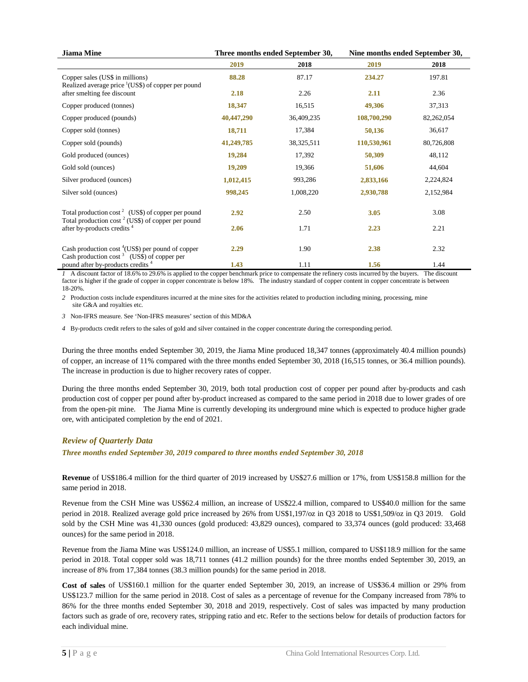| <b>Jiama Mine</b>                                                                                                       |            | Three months ended September 30, | Nine months ended September 30, |            |  |
|-------------------------------------------------------------------------------------------------------------------------|------------|----------------------------------|---------------------------------|------------|--|
|                                                                                                                         | 2019       | 2018                             | 2019                            | 2018       |  |
| Copper sales (US\$ in millions)<br>Realized average price $\frac{1}{1}$ (US\$) of copper per pound                      | 88.28      | 87.17                            | 234.27                          | 197.81     |  |
| after smelting fee discount                                                                                             | 2.18       | 2.26                             | 2.11                            | 2.36       |  |
| Copper produced (tonnes)                                                                                                | 18,347     | 16,515                           | 49,306                          | 37,313     |  |
| Copper produced (pounds)                                                                                                | 40,447,290 | 36,409,235                       | 108,700,290                     | 82,262,054 |  |
| Copper sold (tonnes)                                                                                                    | 18,711     | 17,384                           | 50,136                          | 36,617     |  |
| Copper sold (pounds)                                                                                                    | 41,249,785 | 38,325,511                       | 110,530,961                     | 80,726,808 |  |
| Gold produced (ounces)                                                                                                  | 19,284     | 17,392                           | 50,309                          | 48,112     |  |
| Gold sold (ounces)                                                                                                      | 19,209     | 19,366                           | 51,606                          | 44,604     |  |
| Silver produced (ounces)                                                                                                | 1,012,415  | 993,286                          | 2,833,166                       | 2,224,824  |  |
| Silver sold (ounces)                                                                                                    | 998,245    | 1,008,220                        | 2,930,788                       | 2,152,984  |  |
| Total production cost <sup>2</sup> (US\$) of copper per pound<br>Total production $\cos t^2$ (US\$) of copper per pound | 2.92       | 2.50                             | 3.05                            | 3.08       |  |
| after by-products credits <sup>4</sup>                                                                                  | 2.06       | 1.71                             | 2.23                            | 2.21       |  |
| Cash production $\cos t$ <sup>4</sup> (US\$) per pound of copper<br>Cash production cost $3$ (US\$) of copper per       | 2.29       | 1.90                             | 2.38                            | 2.32       |  |
| pound after by-products credits <sup>4</sup>                                                                            | 1.43       | 1.11                             | 1.56                            | 1.44       |  |

*1* A discount factor of 18.6% to 29.6% is applied to the copper benchmark price to compensate the refinery costs incurred by the buyers. The discount factor is higher if the grade of copper in copper concentrate is below 18%. The industry standard of copper content in copper concentrate is between 18-20%.

*2* Production costs include expenditures incurred at the mine sites for the activities related to production including mining, processing, mine site G&A and royalties etc.

*3* Non-IFRS measure. See 'Non-IFRS measures' section of this MD&A

*4* By-products credit refers to the sales of gold and silver contained in the copper concentrate during the corresponding period.

During the three months ended September 30, 2019, the Jiama Mine produced 18,347 tonnes (approximately 40.4 million pounds) of copper, an increase of 11% compared with the three months ended September 30, 2018 (16,515 tonnes, or 36.4 million pounds). The increase in production is due to higher recovery rates of copper.

During the three months ended September 30, 2019, both total production cost of copper per pound after by-products and cash production cost of copper per pound after by-product increased as compared to the same period in 2018 due to lower grades of ore from the open-pit mine. The Jiama Mine is currently developing its underground mine which is expected to produce higher grade ore, with anticipated completion by the end of 2021.

#### <span id="page-5-0"></span>*Review of Quarterly Data*

*Three months ended September 30, 2019 compared to three months ended September 30, 2018*

**Revenue** of US\$186.4 million for the third quarter of 2019 increased by US\$27.6 million or 17%, from US\$158.8 million for the same period in 2018.

Revenue from the CSH Mine was US\$62.4 million, an increase of US\$22.4 million, compared to US\$40.0 million for the same period in 2018. Realized average gold price increased by 26% from US\$1,197/oz in Q3 2018 to US\$1,509/oz in Q3 2019. Gold sold by the CSH Mine was 41,330 ounces (gold produced: 43,829 ounces), compared to 33,374 ounces (gold produced: 33,468 ounces) for the same period in 2018.

Revenue from the Jiama Mine was US\$124.0 million, an increase of US\$5.1 million, compared to US\$118.9 million for the same period in 2018. Total copper sold was 18,711 tonnes (41.2 million pounds) for the three months ended September 30, 2019, an increase of 8% from 17,384 tonnes (38.3 million pounds) for the same period in 2018.

**Cost of sales** of US\$160.1 million for the quarter ended September 30, 2019, an increase of US\$36.4 million or 29% from US\$123.7 million for the same period in 2018. Cost of sales as a percentage of revenue for the Company increased from 78% to 86% for the three months ended September 30, 2018 and 2019, respectively. Cost of sales was impacted by many production factors such as grade of ore, recovery rates, stripping ratio and etc. Refer to the sections below for details of production factors for each individual mine.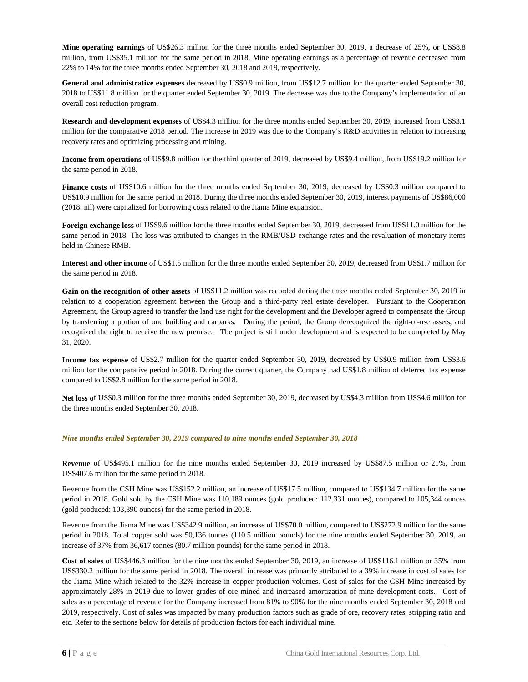**Mine operating earnings** of US\$26.3 million for the three months ended September 30, 2019, a decrease of 25%, or US\$8.8 million, from US\$35.1 million for the same period in 2018. Mine operating earnings as a percentage of revenue decreased from 22% to 14% for the three months ended September 30, 2018 and 2019, respectively.

**General and administrative expenses** decreased by US\$0.9 million, from US\$12.7 million for the quarter ended September 30, 2018 to US\$11.8 million for the quarter ended September 30, 2019. The decrease was due to the Company's implementation of an overall cost reduction program.

**Research and development expenses** of US\$4.3 million for the three months ended September 30, 2019, increased from US\$3.1 million for the comparative 2018 period. The increase in 2019 was due to the Company's R&D activities in relation to increasing recovery rates and optimizing processing and mining.

**Income from operations** of US\$9.8 million for the third quarter of 2019, decreased by US\$9.4 million, from US\$19.2 million for the same period in 2018.

**Finance costs** of US\$10.6 million for the three months ended September 30, 2019, decreased by US\$0.3 million compared to US\$10.9 million for the same period in 2018. During the three months ended September 30, 2019, interest payments of US\$86,000 (2018: nil) were capitalized for borrowing costs related to the Jiama Mine expansion.

**Foreign exchange loss** of US\$9.6 million for the three months ended September 30, 2019, decreased from US\$11.0 million for the same period in 2018. The loss was attributed to changes in the RMB/USD exchange rates and the revaluation of monetary items held in Chinese RMB.

**Interest and other income** of US\$1.5 million for the three months ended September 30, 2019, decreased from US\$1.7 million for the same period in 2018.

**Gain on the recognition of other assets** of US\$11.2 million was recorded during the three months ended September 30, 2019 in relation to a cooperation agreement between the Group and a third-party real estate developer. Pursuant to the Cooperation Agreement, the Group agreed to transfer the land use right for the development and the Developer agreed to compensate the Group by transferring a portion of one building and carparks. During the period, the Group derecognized the right-of-use assets, and recognized the right to receive the new premise. The project is still under development and is expected to be completed by May 31, 2020.

**Income tax expense** of US\$2.7 million for the quarter ended September 30, 2019, decreased by US\$0.9 million from US\$3.6 million for the comparative period in 2018. During the current quarter, the Company had US\$1.8 million of deferred tax expense compared to US\$2.8 million for the same period in 2018.

**Net loss o**f US\$0.3 million for the three months ended September 30, 2019, decreased by US\$4.3 million from US\$4.6 million for the three months ended September 30, 2018.

#### *Nine months ended September 30, 2019 compared to nine months ended September 30, 2018*

**Revenue** of US\$495.1 million for the nine months ended September 30, 2019 increased by US\$87.5 million or 21%, from US\$407.6 million for the same period in 2018.

Revenue from the CSH Mine was US\$152.2 million, an increase of US\$17.5 million, compared to US\$134.7 million for the same period in 2018. Gold sold by the CSH Mine was 110,189 ounces (gold produced: 112,331 ounces), compared to 105,344 ounces (gold produced: 103,390 ounces) for the same period in 2018.

Revenue from the Jiama Mine was US\$342.9 million, an increase of US\$70.0 million, compared to US\$272.9 million for the same period in 2018. Total copper sold was 50,136 tonnes (110.5 million pounds) for the nine months ended September 30, 2019, an increase of 37% from 36,617 tonnes (80.7 million pounds) for the same period in 2018.

**Cost of sales** of US\$446.3 million for the nine months ended September 30, 2019, an increase of US\$116.1 million or 35% from US\$330.2 million for the same period in 2018. The overall increase was primarily attributed to a 39% increase in cost of sales for the Jiama Mine which related to the 32% increase in copper production volumes. Cost of sales for the CSH Mine increased by approximately 28% in 2019 due to lower grades of ore mined and increased amortization of mine development costs. Cost of sales as a percentage of revenue for the Company increased from 81% to 90% for the nine months ended September 30, 2018 and 2019, respectively. Cost of sales was impacted by many production factors such as grade of ore, recovery rates, stripping ratio and etc. Refer to the sections below for details of production factors for each individual mine.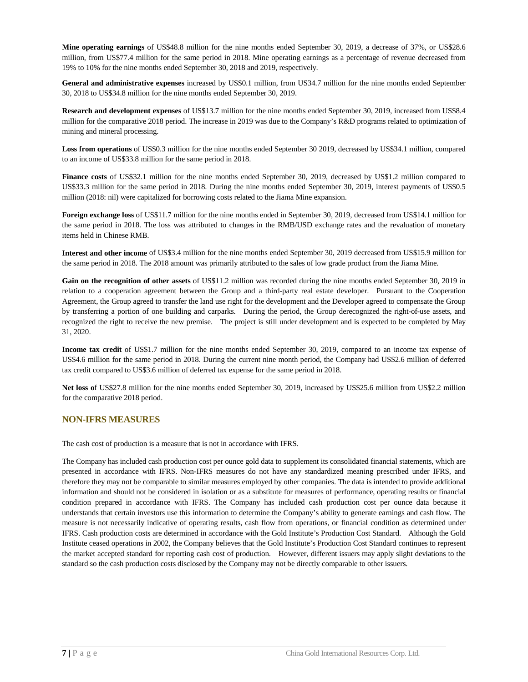**Mine operating earnings** of US\$48.8 million for the nine months ended September 30, 2019, a decrease of 37%, or US\$28.6 million, from US\$77.4 million for the same period in 2018. Mine operating earnings as a percentage of revenue decreased from 19% to 10% for the nine months ended September 30, 2018 and 2019, respectively.

**General and administrative expenses** increased by US\$0.1 million, from US34.7 million for the nine months ended September 30, 2018 to US\$34.8 million for the nine months ended September 30, 2019.

**Research and development expenses** of US\$13.7 million for the nine months ended September 30, 2019, increased from US\$8.4 million for the comparative 2018 period. The increase in 2019 was due to the Company's R&D programs related to optimization of mining and mineral processing.

**Loss from operations** of US\$0.3 million for the nine months ended September 30 2019, decreased by US\$34.1 million, compared to an income of US\$33.8 million for the same period in 2018.

**Finance costs** of US\$32.1 million for the nine months ended September 30, 2019, decreased by US\$1.2 million compared to US\$33.3 million for the same period in 2018. During the nine months ended September 30, 2019, interest payments of US\$0.5 million (2018: nil) were capitalized for borrowing costs related to the Jiama Mine expansion.

**Foreign exchange loss** of US\$11.7 million for the nine months ended in September 30, 2019, decreased from US\$14.1 million for the same period in 2018. The loss was attributed to changes in the RMB/USD exchange rates and the revaluation of monetary items held in Chinese RMB.

**Interest and other income** of US\$3.4 million for the nine months ended September 30, 2019 decreased from US\$15.9 million for the same period in 2018. The 2018 amount was primarily attributed to the sales of low grade product from the Jiama Mine.

**Gain on the recognition of other assets** of US\$11.2 million was recorded during the nine months ended September 30, 2019 in relation to a cooperation agreement between the Group and a third-party real estate developer. Pursuant to the Cooperation Agreement, the Group agreed to transfer the land use right for the development and the Developer agreed to compensate the Group by transferring a portion of one building and carparks. During the period, the Group derecognized the right-of-use assets, and recognized the right to receive the new premise. The project is still under development and is expected to be completed by May 31, 2020.

**Income tax credit** of US\$1.7 million for the nine months ended September 30, 2019, compared to an income tax expense of US\$4.6 million for the same period in 2018. During the current nine month period, the Company had US\$2.6 million of deferred tax credit compared to US\$3.6 million of deferred tax expense for the same period in 2018.

**Net loss o**f US\$27.8 million for the nine months ended September 30, 2019, increased by US\$25.6 million from US\$2.2 million for the comparative 2018 period.

#### <span id="page-7-0"></span>**NON-IFRS MEASURES**

The cash cost of production is a measure that is not in accordance with IFRS.

The Company has included cash production cost per ounce gold data to supplement its consolidated financial statements, which are presented in accordance with IFRS. Non-IFRS measures do not have any standardized meaning prescribed under IFRS, and therefore they may not be comparable to similar measures employed by other companies. The data is intended to provide additional information and should not be considered in isolation or as a substitute for measures of performance, operating results or financial condition prepared in accordance with IFRS. The Company has included cash production cost per ounce data because it understands that certain investors use this information to determine the Company's ability to generate earnings and cash flow. The measure is not necessarily indicative of operating results, cash flow from operations, or financial condition as determined under IFRS. Cash production costs are determined in accordance with the Gold Institute's Production Cost Standard. Although the Gold Institute ceased operations in 2002, the Company believes that the Gold Institute's Production Cost Standard continues to represent the market accepted standard for reporting cash cost of production. However, different issuers may apply slight deviations to the standard so the cash production costs disclosed by the Company may not be directly comparable to other issuers.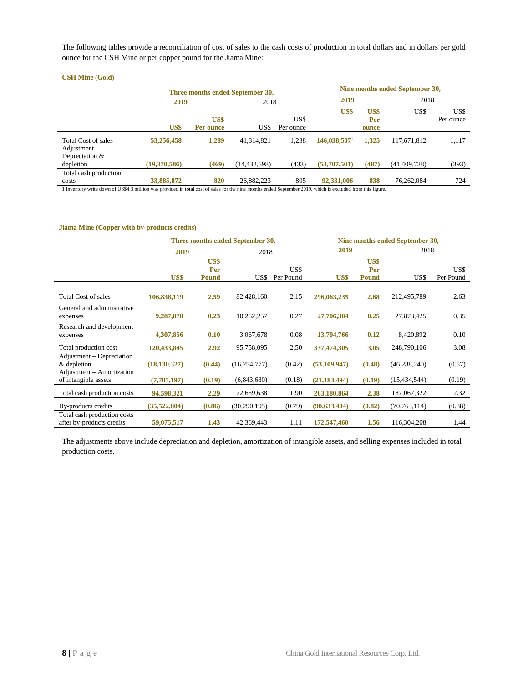The following tables provide a reconciliation of cost of sales to the cash costs of production in total dollars and in dollars per gold ounce for the CSH Mine or per copper pound for the Jiama Mine:

#### **Three months ended September 30,**<br>
2018<br>
2018<br>
2019<br>
2018 **2019** 2018 **2019** 2018 **US\$ US\$ Per ounce** US\$ US\$ Per ounce **US\$ US\$ Per ounce** US\$ US\$ Per ounce Total Cost of sales **53,256,458 1,289** 41,314,821 1,238 **146,038,507**<sup>1</sup> **1,325** 117,671,812 1,117 Adjustment – Depreciation &<br>depletion depletion **(19,370,586) (469)** (14,432,598) (433) **(53,707,501) (487)** (41,409,728) (393) Total cash production costs **33,885,872 820** 26,882,223 805 **92,331,006 838** 76,262,084 724

1 Inventory write down of US\$4.3 million was provided in total cost of sales for the nine months ended September 2019, which is excluded from this figure.

#### **Jiama Mine (Copper with by-products credits)**

**CSH Mine (Gold)**

|                                                                       | Three months ended September 30, | Nine months ended September 30, |                |                   |                |                             |                |                   |
|-----------------------------------------------------------------------|----------------------------------|---------------------------------|----------------|-------------------|----------------|-----------------------------|----------------|-------------------|
|                                                                       | 2019                             | 2018                            |                | 2019              |                | 2018                        |                |                   |
|                                                                       | US\$                             | US\$<br>Per<br><b>Pound</b>     | US\$           | US\$<br>Per Pound | US\$           | US\$<br>Per<br><b>Pound</b> | US\$           | US\$<br>Per Pound |
| <b>Total Cost of sales</b>                                            | 106,838,119                      | 2.59                            | 82,428,160     | 2.15              | 296,063,235    | 2.68                        | 212,495,789    | 2.63              |
| General and administrative<br>expenses                                | 9,287,870                        | 0.23                            | 10,262,257     | 0.27              | 27,706,304     | 0.25                        | 27,873,425     | 0.35              |
| Research and development<br>expenses                                  | 4,307,856                        | 0.10                            | 3,067,678      | 0.08              | 13,704,766     | 0.12                        | 8,420,892      | 0.10              |
| Total production cost                                                 | 120,433,845                      | 2.92                            | 95,758,095     | 2.50              | 337,474,305    | 3.05                        | 248,790,106    | 3.08              |
| Adjustment – Depreciation<br>& depletion<br>Adjustment – Amortization | (18, 130, 327)                   | (0.44)                          | (16, 254, 777) | (0.42)            | (53, 109, 947) | (0.48)                      | (46, 288, 240) | (0.57)            |
| of intangible assets                                                  | (7,705,197)                      | (0.19)                          | (6,843,680)    | (0.18)            | (21, 183, 494) | (0.19)                      | (15, 434, 544) | (0.19)            |
| Total cash production costs                                           | 94,598,321                       | 2.29                            | 72,659,638     | 1.90              | 263,180,864    | 2.38                        | 187,067,322    | 2.32              |
| By-products credits                                                   | (35,522,804)                     | (0.86)                          | (30, 290, 195) | (0.79)            | (90, 633, 404) | (0.82)                      | (70, 763, 114) | (0.88)            |
| Total cash production costs<br>after by-products credits              | 59,075,517                       | 1.43                            | 42,369,443     | 1.11              | 172,547,460    | 1.56                        | 116,304,208    | 1.44              |

The adjustments above include depreciation and depletion, amortization of intangible assets, and selling expenses included in total production costs.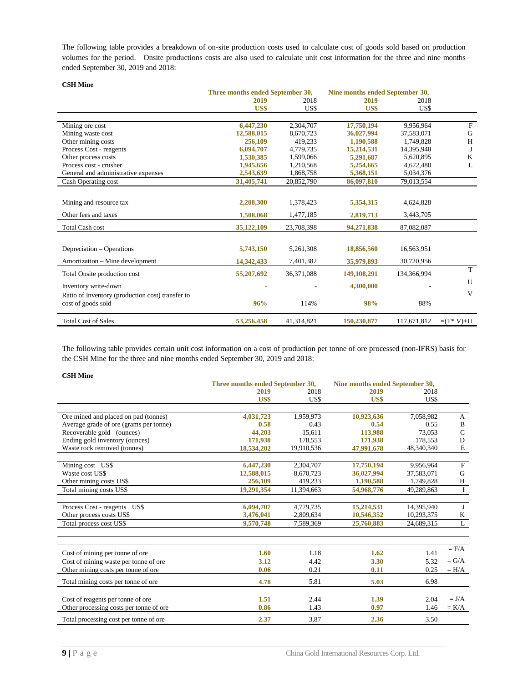The following table provides a breakdown of on-site production costs used to calculate cost of goods sold based on production volumes for the period. Onsite productions costs are also used to calculate unit cost information for the three and nine months ended September 30, 2019 and 2018:

| <b>CSH Mine</b>                                  |                                  |            |                                 |             |                           |
|--------------------------------------------------|----------------------------------|------------|---------------------------------|-------------|---------------------------|
|                                                  | Three months ended September 30, |            | Nine months ended September 30, |             |                           |
|                                                  | 2019                             | 2018       | 2019                            | 2018        |                           |
|                                                  | US\$                             | US\$       | US\$                            | US\$        |                           |
|                                                  |                                  |            |                                 |             |                           |
| Mining ore cost                                  | 6,447,230                        | 2,304,707  | 17,750,194                      | 9,956,964   | $\boldsymbol{\mathrm{F}}$ |
| Mining waste cost                                | 12,588,015                       | 8,670,723  | 36,027,994                      | 37,583,071  | G                         |
| Other mining costs                               | 256,109                          | 419.233    | 1,190,588                       | 1.749.828   | H                         |
| Process Cost - reagents                          | 6,094,707                        | 4,779,735  | 15,214,531                      | 14,395,940  | J                         |
| Other process costs                              | 1,530,385                        | 1,599,066  | 5,291,687                       | 5,620,895   | K                         |
| Process cost - crusher                           | 1,945,656                        | 1.210.568  | 5,254,665                       | 4,672,480   | L                         |
| General and administrative expenses              | 2,543,639                        | 1,868,758  | 5,368,151                       | 5,034,376   |                           |
| Cash Operating cost                              | 31,405,741                       | 20,852,790 | 86,097,810                      | 79,013,554  |                           |
|                                                  |                                  |            |                                 |             |                           |
| Mining and resource tax                          | 2,208,300                        | 1,378,423  | 5,354,315                       | 4,624,828   |                           |
| Other fees and taxes                             | 1,508,068                        | 1,477,185  | 2,819,713                       | 3,443,705   |                           |
| <b>Total Cash cost</b>                           | 35,122,109                       | 23,708,398 | 94,271,838                      | 87,082,087  |                           |
|                                                  |                                  |            |                                 |             |                           |
| Depreciation – Operations                        | 5,743,150                        | 5,261,308  | 18,856,560                      | 16,563,951  |                           |
| Amortization – Mine development                  | 14,342,433                       | 7,401,382  | 35,979,893                      | 30,720,956  |                           |
| Total Onsite production cost                     | 55,207,692                       | 36,371,088 | 149,108,291                     | 134,366,994 | T                         |
| Inventory write-down                             |                                  |            | 4,300,000                       |             | U                         |
| Ratio of Inventory (production cost) transfer to |                                  |            |                                 |             | V                         |
| cost of goods sold                               | 96%                              | 114%       | 98%                             | 88%         |                           |
| <b>Total Cost of Sales</b>                       | 53,256,458                       | 41,314,821 | 150,230,877                     | 117,671,812 | $=(T^* V)+U$              |

The following table provides certain unit cost information on a cost of production per tonne of ore processed (non-IFRS) basis for the CSH Mine for the three and nine months ended September 30, 2019 and 2018:

**CSH Mine**

|                                         | Three months ended September 30, |            | Nine months ended September 30, |            |                |
|-----------------------------------------|----------------------------------|------------|---------------------------------|------------|----------------|
|                                         | 2019                             | 2018       | 2019                            | 2018       |                |
|                                         | US\$                             | US\$       | US\$                            | US\$       |                |
|                                         |                                  |            |                                 |            |                |
| Ore mined and placed on pad (tonnes)    | 4,031,723                        | 1,959,973  | 10,923,636                      | 7,058,982  | A              |
| Average grade of ore (grams per tonne)  | 0.58                             | 0.43       | 0.54                            | 0.55       | B              |
| Recoverable gold (ounces)               | 44,203                           | 15,611     | 113,988                         | 73,053     | $\mathsf{C}$   |
| Ending gold inventory (ounces)          | 171,938                          | 178,553    | 171,938                         | 178,553    | D              |
| Waste rock removed (tonnes)             | 18,534,202                       | 19,910,536 | 47,991,678                      | 48,340,340 | $\mathbf E$    |
|                                         |                                  |            |                                 |            |                |
| Mining cost US\$                        | 6,447,230                        | 2,304,707  | 17,750,194                      | 9,956,964  | $\mathbf F$    |
| Waste cost US\$                         | 12,588,015                       | 8,670,723  | 36,027,994                      | 37,583,071 | G              |
| Other mining costs US\$                 | 256,109                          | 419,233    | 1,190,588                       | 1,749,828  | H              |
| Total mining costs US\$                 | 19,291,354                       | 11,394,663 | 54,968,776                      | 49,289,863 | $\bf{I}$       |
|                                         |                                  |            |                                 |            |                |
| Process Cost - reagents US\$            | 6,094,707                        | 4,779,735  | 15,214,531                      | 14,395,940 | J              |
| Other process costs US\$                | 3,476,041                        | 2,809,634  | 10.546.352                      | 10,293,375 | K              |
| Total process cost US\$                 | 9,570,748                        | 7,589,369  | 25,760,883                      | 24,689,315 | $\overline{L}$ |
|                                         |                                  |            |                                 |            |                |
|                                         |                                  |            |                                 |            | $=$ $F/A$      |
| Cost of mining per tonne of ore         | 1.60                             | 1.18       | 1.62                            | 1.41       |                |
| Cost of mining waste per tonne of ore   | 3.12                             | 4.42       | 3.30                            | 5.32       | $= G/A$        |
| Other mining costs per tonne of ore     | 0.06                             | 0.21       | 0.11                            | 0.25       | $= H/A$        |
| Total mining costs per tonne of ore     | 4.78                             | 5.81       | 5.03                            | 6.98       |                |
|                                         |                                  |            |                                 |            |                |
| Cost of reagents per tonne of ore       | 1.51                             | 2.44       | 1.39                            | 2.04       | $= J/A$        |
| Other processing costs per tonne of ore | 0.86                             | 1.43       | 0.97                            | 1.46       | $= K/A$        |
| Total processing cost per tonne of ore  | 2.37                             | 3.87       | 2.36                            | 3.50       |                |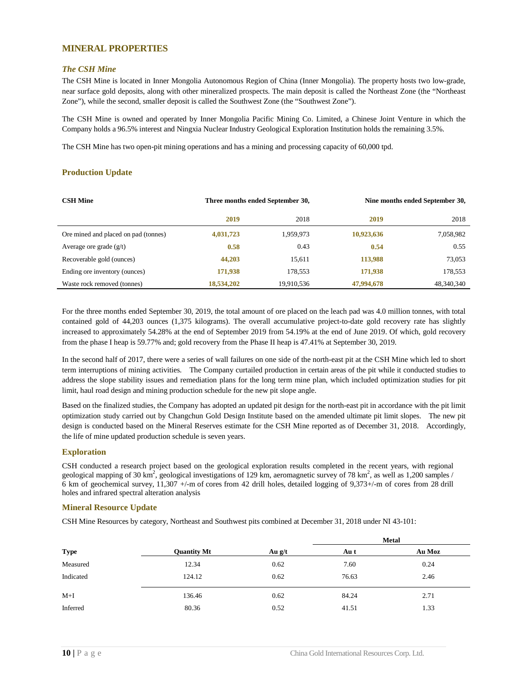#### <span id="page-10-0"></span>**MINERAL PROPERTIES**

#### <span id="page-10-1"></span>*The CSH Mine*

The CSH Mine is located in Inner Mongolia Autonomous Region of China (Inner Mongolia). The property hosts two low-grade, near surface gold deposits, along with other mineralized prospects. The main deposit is called the Northeast Zone (the "Northeast Zone"), while the second, smaller deposit is called the Southwest Zone (the "Southwest Zone").

The CSH Mine is owned and operated by Inner Mongolia Pacific Mining Co. Limited, a Chinese Joint Venture in which the Company holds a 96.5% interest and Ningxia Nuclear Industry Geological Exploration Institution holds the remaining 3.5%.

The CSH Mine has two open-pit mining operations and has a mining and processing capacity of 60,000 tpd.

#### **Production Update**

| <b>CSH Mine</b>                      | Three months ended September 30, |            |            | Nine months ended September 30, |
|--------------------------------------|----------------------------------|------------|------------|---------------------------------|
|                                      | 2019                             | 2018       | 2019       | 2018                            |
| Ore mined and placed on pad (tonnes) | 4,031,723                        | 1,959,973  | 10,923,636 | 7,058,982                       |
| Average ore grade $(g/t)$            | 0.58                             | 0.43       | 0.54       | 0.55                            |
| Recoverable gold (ounces)            | 44,203                           | 15,611     | 113,988    | 73,053                          |
| Ending ore inventory (ounces)        | 171,938                          | 178,553    | 171,938    | 178,553                         |
| Waste rock removed (tonnes)          | 18,534,202                       | 19,910,536 | 47,994,678 | 48,340,340                      |

For the three months ended September 30, 2019, the total amount of ore placed on the leach pad was 4.0 million tonnes, with total contained gold of 44,203 ounces (1,375 kilograms). The overall accumulative project-to-date gold recovery rate has slightly increased to approximately 54.28% at the end of September 2019 from 54.19% at the end of June 2019. Of which, gold recovery from the phase I heap is 59.77% and; gold recovery from the Phase II heap is 47.41% at September 30, 2019.

In the second half of 2017, there were a series of wall failures on one side of the north-east pit at the CSH Mine which led to short term interruptions of mining activities. The Company curtailed production in certain areas of the pit while it conducted studies to address the slope stability issues and remediation plans for the long term mine plan, which included optimization studies for pit limit, haul road design and mining production schedule for the new pit slope angle.

Based on the finalized studies, the Company has adopted an updated pit design for the north-east pit in accordance with the pit limit optimization study carried out by Changchun Gold Design Institute based on the amended ultimate pit limit slopes. The new pit design is conducted based on the Mineral Reserves estimate for the CSH Mine reported as of December 31, 2018. Accordingly, the life of mine updated production schedule is seven years.

#### **Exploration**

CSH conducted a research project based on the geological exploration results completed in the recent years, with regional geological mapping of 30 km<sup>2</sup>, geological investigations of 129 km, aeromagnetic survey of 78 km<sup>2</sup>, as well as 1,200 samples / 6 km of geochemical survey, 11,307 +/-m of cores from 42 drill holes, detailed logging of 9,373+/-m of cores from 28 drill holes and infrared spectral alteration analysis

#### **Mineral Resource Update**

CSH Mine Resources by category, Northeast and Southwest pits combined at December 31, 2018 under NI 43-101:

|             |                    |          |       | <b>Metal</b> |
|-------------|--------------------|----------|-------|--------------|
| <b>Type</b> | <b>Quantity Mt</b> | Au $g/t$ | Au t  | Au Moz       |
| Measured    | 12.34              | 0.62     | 7.60  | 0.24         |
| Indicated   | 124.12             | 0.62     | 76.63 | 2.46         |
| $M+I$       | 136.46             | 0.62     | 84.24 | 2.71         |
| Inferred    | 80.36              | 0.52     | 41.51 | 1.33         |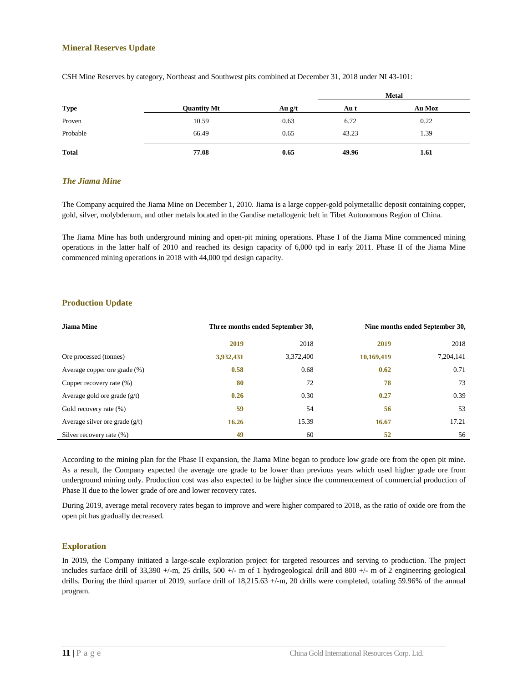#### **Mineral Reserves Update**

|              |                    |          |       | <b>Metal</b> |
|--------------|--------------------|----------|-------|--------------|
| <b>Type</b>  | <b>Quantity Mt</b> | Au $g/t$ | Au t  | Au Moz       |
| Proven       | 10.59              | 0.63     | 6.72  | 0.22         |
| Probable     | 66.49              | 0.65     | 43.23 | 1.39         |
| <b>Total</b> | 77.08              | 0.65     | 49.96 | 1.61         |

CSH Mine Reserves by category, Northeast and Southwest pits combined at December 31, 2018 under NI 43-101:

#### <span id="page-11-0"></span>*The Jiama Mine*

The Company acquired the Jiama Mine on December 1, 2010. Jiama is a large copper-gold polymetallic deposit containing copper, gold, silver, molybdenum, and other metals located in the Gandise metallogenic belt in Tibet Autonomous Region of China.

The Jiama Mine has both underground mining and open-pit mining operations. Phase I of the Jiama Mine commenced mining operations in the latter half of 2010 and reached its design capacity of 6,000 tpd in early 2011. Phase II of the Jiama Mine commenced mining operations in 2018 with 44,000 tpd design capacity.

#### **Production Update**

| <b>Jiama Mine</b>                | Three months ended September 30, |           |            | Nine months ended September 30, |
|----------------------------------|----------------------------------|-----------|------------|---------------------------------|
|                                  | 2019                             | 2018      | 2019       | 2018                            |
| Ore processed (tonnes)           | 3,932,431                        | 3,372,400 | 10,169,419 | 7,204,141                       |
| Average copper ore grade (%)     | 0.58                             | 0.68      | 0.62       | 0.71                            |
| Copper recovery rate (%)         | 80                               | 72        | 78         | 73                              |
| Average gold ore grade $(g/t)$   | 0.26                             | 0.30      | 0.27       | 0.39                            |
| Gold recovery rate (%)           | 59                               | 54        | 56         | 53                              |
| Average silver ore grade $(g/t)$ | 16.26                            | 15.39     | 16.67      | 17.21                           |
| Silver recovery rate (%)         | 49                               | 60        | 52         | 56                              |

According to the mining plan for the Phase II expansion, the Jiama Mine began to produce low grade ore from the open pit mine. As a result, the Company expected the average ore grade to be lower than previous years which used higher grade ore from underground mining only. Production cost was also expected to be higher since the commencement of commercial production of Phase II due to the lower grade of ore and lower recovery rates.

During 2019, average metal recovery rates began to improve and were higher compared to 2018, as the ratio of oxide ore from the open pit has gradually decreased.

#### **Exploration**

In 2019, the Company initiated a large-scale exploration project for targeted resources and serving to production. The project includes surface drill of 33,390 +/-m, 25 drills, 500 +/- m of 1 hydrogeological drill and 800 +/- m of 2 engineering geological drills. During the third quarter of 2019, surface drill of 18,215.63 +/-m, 20 drills were completed, totaling 59.96% of the annual program.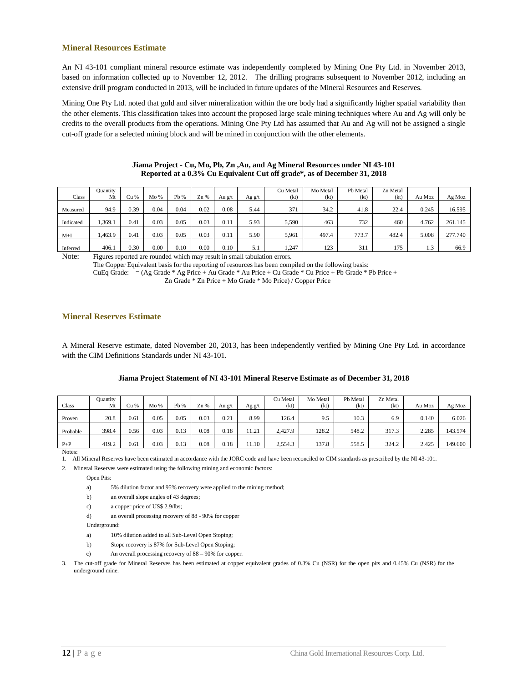#### **Mineral Resources Estimate**

An NI 43-101 compliant mineral resource estimate was independently completed by Mining One Pty Ltd. in November 2013, based on information collected up to November 12, 2012. The drilling programs subsequent to November 2012, including an extensive drill program conducted in 2013, will be included in future updates of the Mineral Resources and Reserves.

Mining One Pty Ltd. noted that gold and silver mineralization within the ore body had a significantly higher spatial variability than the other elements. This classification takes into account the proposed large scale mining techniques where Au and Ag will only be credits to the overall products from the operations. Mining One Pty Ltd has assumed that Au and Ag will not be assigned a single cut-off grade for a selected mining block and will be mined in conjunction with the other elements.

|           | Quantity |      |      |          |      |        |           | Cu Metal | Mo Metal | Pb Metal | Zn Metal |        |         |
|-----------|----------|------|------|----------|------|--------|-----------|----------|----------|----------|----------|--------|---------|
| Class     | Mt       | Cu % | Mo%  | Pb %     | Zn % | Au g/t | Ag g/t    | (kt)     | (kt)     | (kt)     | (kt)     | Au Moz | Ag Moz  |
| Measured  | 94.9     | 0.39 | 0.04 | 0.04     | 0.02 | 0.08   | 5.44      | 371      | 34.2     | 41.8     | 22.4     | 0.245  | 16.595  |
| Indicated | .369.1   | 0.41 | 0.03 | 0.05     | 0.03 | 0.11   | 5.93      | 5,590    | 463      | 732      | 460      | 4.762  | 261.145 |
| $M+I$     | .463.9   | 0.41 | 0.03 | 0.05     | 0.03 | 0.11   | 5.90      | 5,961    | 497.4    | 773.7    | 482.4    | 5.008  | 277.740 |
| Inferred  | 406.1    | 0.30 | 0.00 | $0.10\,$ | 0.00 | 0.10   | 51<br>ه د | ,247     | 123      | 311      | 175      | 1.3    | 66.9    |

#### **Jiama Project - Cu, Mo, Pb, Zn ,Au, and Ag Mineral Resources under NI 43-101 Reported at a 0.3% Cu Equivalent Cut off grade\*, as of December 31, 2018**

Note: Figures reported are rounded which may result in small tabulation errors.

The Copper Equivalent basis for the reporting of resources has been compiled on the following basis: CuEq Grade: = (Ag Grade \* Ag Price + Au Grade \* Au Price + Cu Grade \* Cu Price + Pb Grade \* Pb Price +

Zn Grade \* Zn Price + Mo Grade \* Mo Price) / Copper Price

#### **Mineral Reserves Estimate**

A Mineral Reserve estimate, dated November 20, 2013, has been independently verified by Mining One Pty Ltd. in accordance with the CIM Definitions Standards under NI 43-101.

| Jiama Project Statement of NI 43-101 Mineral Reserve Estimate as of December 31, 2018 |  |  |
|---------------------------------------------------------------------------------------|--|--|
|                                                                                       |  |  |

|          | Quantity |      |      |      |      |        |          | Cu Metal | Mo Metal | Pb Metal | Zn Metal |        |         |
|----------|----------|------|------|------|------|--------|----------|----------|----------|----------|----------|--------|---------|
| Class    | Mt       | Cu % | Mo%  | Pb % | Zn % | Au g/t | Ag $g/t$ | (kt)     | (kt)     | (kt)     | (kt)     | Au Moz | Ag Moz  |
|          |          |      |      |      |      |        |          |          |          |          |          |        |         |
| Proven   | 20.8     | 0.61 | 0.05 | 0.05 | 0.03 | 0.21   | 8.99     | 126.4    | 9.5      | 10.3     | 6.9      | 0.140  | 6.026   |
|          |          |      |      |      |      |        |          |          |          |          |          |        |         |
| Probable | 398.4    | 0.56 | 0.03 | 0.13 | 0.08 | 0.18   | 11.21    | 2,427.9  | 128.2    | 548.2    | 317.3    | 2.285  | 143.574 |
|          |          |      |      |      |      |        |          |          |          |          |          |        |         |
| $P+P$    | 419.2    | 0.61 | 0.03 | 0.13 | 0.08 | 0.18   | 11.10    | 2,554.3  | 137.8    | 558.5    | 324.2    | 2.425  | 149.600 |
| Notes:   |          |      |      |      |      |        |          |          |          |          |          |        |         |

1. All Mineral Reserves have been estimated in accordance with the JORC code and have been reconciled to CIM standards as prescribed by the NI 43-101.

2. Mineral Reserves were estimated using the following mining and economic factors:

Open Pits:

a) 5% dilution factor and 95% recovery were applied to the mining method;

b) an overall slope angles of 43 degrees;

c) a copper price of US\$ 2.9/lbs;

d) an overall processing recovery of 88 - 90% for copper

Underground:

- a) 10% dilution added to all Sub-Level Open Stoping;
- b) Stope recovery is 87% for Sub-Level Open Stoping;
- c) An overall processing recovery of 88 90% for copper.

3. The cut-off grade for Mineral Reserves has been estimated at copper equivalent grades of 0.3% Cu (NSR) for the open pits and 0.45% Cu (NSR) for the underground mine.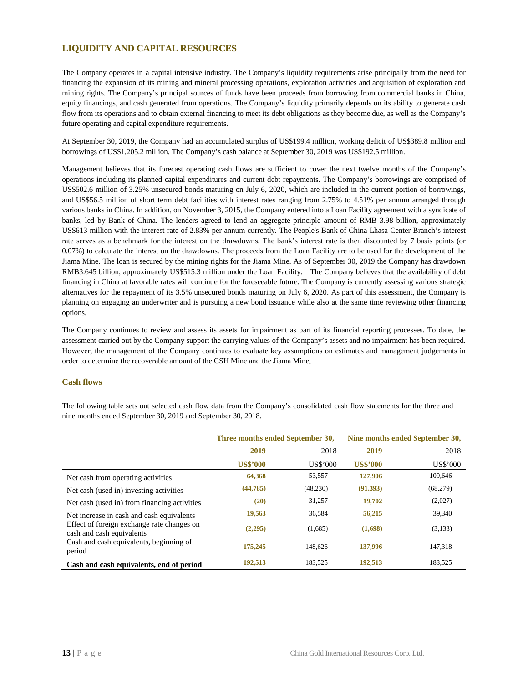#### <span id="page-13-0"></span>**LIQUIDITY AND CAPITAL RESOURCES**

The Company operates in a capital intensive industry. The Company's liquidity requirements arise principally from the need for financing the expansion of its mining and mineral processing operations, exploration activities and acquisition of exploration and mining rights. The Company's principal sources of funds have been proceeds from borrowing from commercial banks in China, equity financings, and cash generated from operations. The Company's liquidity primarily depends on its ability to generate cash flow from its operations and to obtain external financing to meet its debt obligations as they become due, as well as the Company's future operating and capital expenditure requirements.

At September 30, 2019, the Company had an accumulated surplus of US\$199.4 million, working deficit of US\$389.8 million and borrowings of US\$1,205.2 million. The Company's cash balance at September 30, 2019 was US\$192.5 million.

Management believes that its forecast operating cash flows are sufficient to cover the next twelve months of the Company's operations including its planned capital expenditures and current debt repayments. The Company's borrowings are comprised of US\$502.6 million of 3.25% unsecured bonds maturing on July 6, 2020, which are included in the current portion of borrowings, and US\$56.5 million of short term debt facilities with interest rates ranging from 2.75% to 4.51% per annum arranged through various banks in China. In addition, on November 3, 2015, the Company entered into a Loan Facility agreement with a syndicate of banks, led by Bank of China. The lenders agreed to lend an aggregate principle amount of RMB 3.98 billion, approximately US\$613 million with the interest rate of 2.83% per annum currently. The People's Bank of China Lhasa Center Branch's interest rate serves as a benchmark for the interest on the drawdowns. The bank's interest rate is then discounted by 7 basis points (or 0.07%) to calculate the interest on the drawdowns. The proceeds from the Loan Facility are to be used for the development of the Jiama Mine. The loan is secured by the mining rights for the Jiama Mine. As of September 30, 2019 the Company has drawdown RMB3.645 billion, approximately US\$515.3 million under the Loan Facility. The Company believes that the availability of debt financing in China at favorable rates will continue for the foreseeable future. The Company is currently assessing various strategic alternatives for the repayment of its 3.5% unsecured bonds maturing on July 6, 2020. As part of this assessment, the Company is planning on engaging an underwriter and is pursuing a new bond issuance while also at the same time reviewing other financing options.

The Company continues to review and assess its assets for impairment as part of its financial reporting processes. To date, the assessment carried out by the Company support the carrying values of the Company's assets and no impairment has been required. However, the management of the Company continues to evaluate key assumptions on estimates and management judgements in order to determine the recoverable amount of the CSH Mine and the Jiama Mine**.**

#### <span id="page-13-1"></span>**Cash flows**

The following table sets out selected cash flow data from the Company's consolidated cash flow statements for the three and nine months ended September 30, 2019 and September 30, 2018.

|                                                                         |                 | Three months ended September 30, | Nine months ended September 30, |           |  |
|-------------------------------------------------------------------------|-----------------|----------------------------------|---------------------------------|-----------|--|
|                                                                         | 2019            | 2018                             | 2019                            | 2018      |  |
|                                                                         | <b>US\$'000</b> | US\$'000                         | <b>US\$'000</b>                 | US\$'000  |  |
| Net cash from operating activities                                      | 64,368          | 53,557                           | 127,906                         | 109.646   |  |
| Net cash (used in) investing activities                                 | (44, 785)       | (48,230)                         | (91,393)                        | (68, 279) |  |
| Net cash (used in) from financing activities                            | (20)            | 31,257                           | 19,702                          | (2,027)   |  |
| Net increase in cash and cash equivalents                               | 19,563          | 36,584                           | 56,215                          | 39,340    |  |
| Effect of foreign exchange rate changes on<br>cash and cash equivalents | (2,295)         | (1,685)                          | (1,698)                         | (3,133)   |  |
| Cash and cash equivalents, beginning of<br>period                       | 175,245         | 148,626                          | 137,996                         | 147,318   |  |
| Cash and cash equivalents, end of period                                | 192,513         | 183.525                          | 192,513                         | 183.525   |  |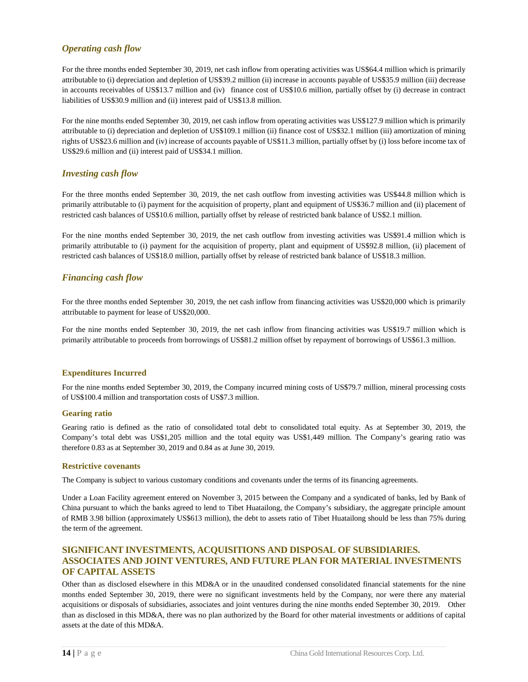#### <span id="page-14-0"></span>*Operating cash flow*

For the three months ended September 30, 2019, net cash inflow from operating activities was US\$64.4 million which is primarily attributable to (i) depreciation and depletion of US\$39.2 million (ii) increase in accounts payable of US\$35.9 million (iii) decrease in accounts receivables of US\$13.7 million and (iv) finance cost of US\$10.6 million, partially offset by (i) decrease in contract liabilities of US\$30.9 million and (ii) interest paid of US\$13.8 million.

For the nine months ended September 30, 2019, net cash inflow from operating activities was US\$127.9 million which is primarily attributable to (i) depreciation and depletion of US\$109.1 million (ii) finance cost of US\$32.1 million (iii) amortization of mining rights of US\$23.6 million and (iv) increase of accounts payable of US\$11.3 million, partially offset by (i) loss before income tax of US\$29.6 million and (ii) interest paid of US\$34.1 million.

#### <span id="page-14-1"></span>*Investing cash flow*

For the three months ended September 30, 2019, the net cash outflow from investing activities was US\$44.8 million which is primarily attributable to (i) payment for the acquisition of property, plant and equipment of US\$36.7 million and (ii) placement of restricted cash balances of US\$10.6 million, partially offset by release of restricted bank balance of US\$2.1 million.

For the nine months ended September 30, 2019, the net cash outflow from investing activities was US\$91.4 million which is primarily attributable to (i) payment for the acquisition of property, plant and equipment of US\$92.8 million, (ii) placement of restricted cash balances of US\$18.0 million, partially offset by release of restricted bank balance of US\$18.3 million.

#### <span id="page-14-2"></span>*Financing cash flow*

For the three months ended September 30, 2019, the net cash inflow from financing activities was US\$20,000 which is primarily attributable to payment for lease of US\$20,000.

For the nine months ended September 30, 2019, the net cash inflow from financing activities was US\$19.7 million which is primarily attributable to proceeds from borrowings of US\$81.2 million offset by repayment of borrowings of US\$61.3 million.

#### **Expenditures Incurred**

For the nine months ended September 30, 2019, the Company incurred mining costs of US\$79.7 million, mineral processing costs of US\$100.4 million and transportation costs of US\$7.3 million.

#### **Gearing ratio**

Gearing ratio is defined as the ratio of consolidated total debt to consolidated total equity. As at September 30, 2019, the Company's total debt was US\$1,205 million and the total equity was US\$1,449 million. The Company's gearing ratio was therefore 0.83 as at September 30, 2019 and 0.84 as at June 30, 2019.

#### **Restrictive covenants**

The Company is subject to various customary conditions and covenants under the terms of its financing agreements.

Under a Loan Facility agreement entered on November 3, 2015 between the Company and a syndicated of banks, led by Bank of China pursuant to which the banks agreed to lend to Tibet Huatailong, the Company's subsidiary, the aggregate principle amount of RMB 3.98 billion (approximately US\$613 million), the debt to assets ratio of Tibet Huatailong should be less than 75% during the term of the agreement.

#### <span id="page-14-3"></span>**SIGNIFICANT INVESTMENTS, ACQUISITIONS AND DISPOSAL OF SUBSIDIARIES. ASSOCIATES AND JOINT VENTURES, AND FUTURE PLAN FOR MATERIAL INVESTMENTS OF CAPITAL ASSETS**

Other than as disclosed elsewhere in this MD&A or in the unaudited condensed consolidated financial statements for the nine months ended September 30, 2019, there were no significant investments held by the Company, nor were there any material acquisitions or disposals of subsidiaries, associates and joint ventures during the nine months ended September 30, 2019. Other than as disclosed in this MD&A, there was no plan authorized by the Board for other material investments or additions of capital assets at the date of this MD&A.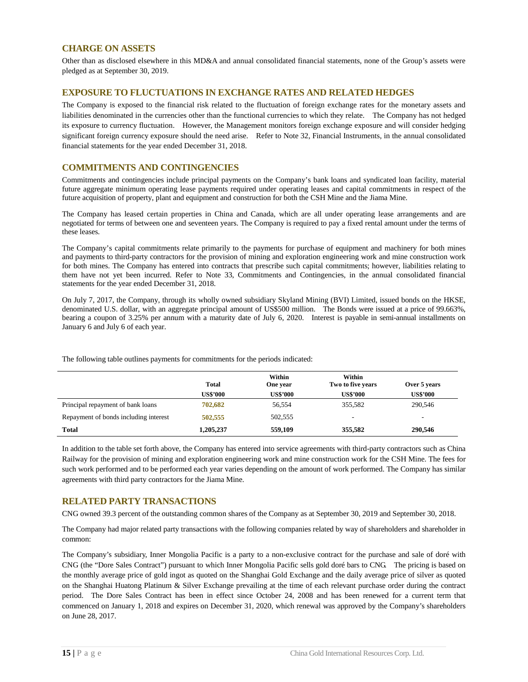#### <span id="page-15-0"></span>**CHARGE ON ASSETS**

Other than as disclosed elsewhere in this MD&A and annual consolidated financial statements, none of the Group's assets were pledged as at September 30, 2019.

#### <span id="page-15-1"></span>**EXPOSURE TO FLUCTUATIONS IN EXCHANGE RATES AND RELATED HEDGES**

The Company is exposed to the financial risk related to the fluctuation of foreign exchange rates for the monetary assets and liabilities denominated in the currencies other than the functional currencies to which they relate. The Company has not hedged its exposure to currency fluctuation. However, the Management monitors foreign exchange exposure and will consider hedging significant foreign currency exposure should the need arise. Refer to Note 32, Financial Instruments, in the annual consolidated financial statements for the year ended December 31, 2018.

#### <span id="page-15-2"></span>**COMMITMENTS AND CONTINGENCIES**

Commitments and contingencies include principal payments on the Company's bank loans and syndicated loan facility, material future aggregate minimum operating lease payments required under operating leases and capital commitments in respect of the future acquisition of property, plant and equipment and construction for both the CSH Mine and the Jiama Mine.

The Company has leased certain properties in China and Canada, which are all under operating lease arrangements and are negotiated for terms of between one and seventeen years. The Company is required to pay a fixed rental amount under the terms of these leases.

The Company's capital commitments relate primarily to the payments for purchase of equipment and machinery for both mines and payments to third-party contractors for the provision of mining and exploration engineering work and mine construction work for both mines. The Company has entered into contracts that prescribe such capital commitments; however, liabilities relating to them have not yet been incurred. Refer to Note 33, Commitments and Contingencies, in the annual consolidated financial statements for the year ended December 31, 2018.

On July 7, 2017, the Company, through its wholly owned subsidiary Skyland Mining (BVI) Limited, issued bonds on the HKSE, denominated U.S. dollar, with an aggregate principal amount of US\$500 million. The Bonds were issued at a price of 99.663%, bearing a coupon of 3.25% per annum with a maturity date of July 6, 2020. Interest is payable in semi-annual installments on January 6 and July 6 of each year.

The following table outlines payments for commitments for the periods indicated:

|                                       | <b>Total</b>    | Within<br>One year | Within<br>Two to five years | Over 5 years    |
|---------------------------------------|-----------------|--------------------|-----------------------------|-----------------|
|                                       | <b>US\$'000</b> | <b>US\$'000</b>    | <b>US\$'000</b>             | <b>US\$'000</b> |
| Principal repayment of bank loans     | 702,682         | 56,554             | 355,582                     | 290,546         |
| Repayment of bonds including interest | 502,555         | 502,555            | -                           |                 |
| <b>Total</b>                          | 1,205,237       | 559,109            | 355,582                     | 290,546         |

In addition to the table set forth above, the Company has entered into service agreements with third-party contractors such as China Railway for the provision of mining and exploration engineering work and mine construction work for the CSH Mine. The fees for such work performed and to be performed each year varies depending on the amount of work performed. The Company has similar agreements with third party contractors for the Jiama Mine.

#### <span id="page-15-3"></span>**RELATED PARTY TRANSACTIONS**

CNG owned 39.3 percent of the outstanding common shares of the Company as at September 30, 2019 and September 30, 2018.

The Company had major related party transactions with the following companies related by way of shareholders and shareholder in common:

The Company's subsidiary, Inner Mongolia Pacific is a party to a non-exclusive contract for the purchase and sale of doré with CNG (the "Dore Sales Contract") pursuant to which Inner Mongolia Pacific sells gold doré bars to CNG. The pricing is based on the monthly average price of gold ingot as quoted on the Shanghai Gold Exchange and the daily average price of silver as quoted on the Shanghai Huatong Platinum & Silver Exchange prevailing at the time of each relevant purchase order during the contract period. The Dore Sales Contract has been in effect since October 24, 2008 and has been renewed for a current term that commenced on January 1, 2018 and expires on December 31, 2020, which renewal was approved by the Company's shareholders on June 28, 2017.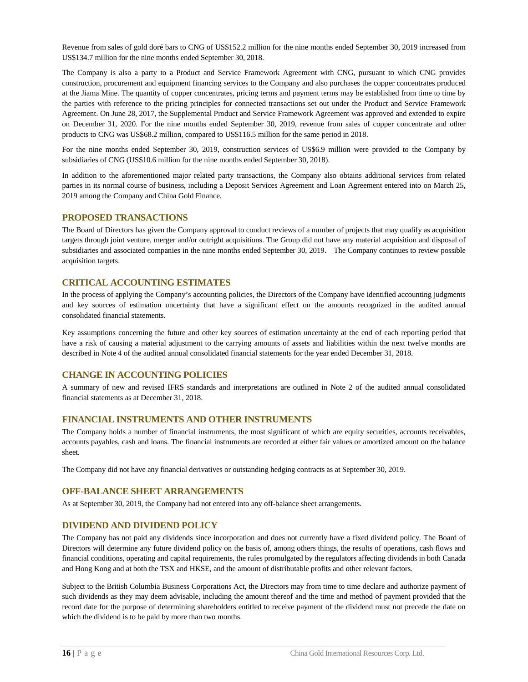Revenue from sales of gold doré bars to CNG of US\$152.2 million for the nine months ended September 30, 2019 increased from US\$134.7 million for the nine months ended September 30, 2018.

The Company is also a party to a Product and Service Framework Agreement with CNG, pursuant to which CNG provides construction, procurement and equipment financing services to the Company and also purchases the copper concentrates produced at the Jiama Mine. The quantity of copper concentrates, pricing terms and payment terms may be established from time to time by the parties with reference to the pricing principles for connected transactions set out under the Product and Service Framework Agreement. On June 28, 2017, the Supplemental Product and Service Framework Agreement was approved and extended to expire on December 31, 2020. For the nine months ended September 30, 2019, revenue from sales of copper concentrate and other products to CNG was US\$68.2 million, compared to US\$116.5 million for the same period in 2018.

For the nine months ended September 30, 2019, construction services of US\$6.9 million were provided to the Company by subsidiaries of CNG (US\$10.6 million for the nine months ended September 30, 2018).

In addition to the aforementioned major related party transactions, the Company also obtains additional services from related parties in its normal course of business, including a Deposit Services Agreement and Loan Agreement entered into on March 25, 2019 among the Company and China Gold Finance.

#### <span id="page-16-0"></span>**PROPOSED TRANSACTIONS**

The Board of Directors has given the Company approval to conduct reviews of a number of projects that may qualify as acquisition targets through joint venture, merger and/or outright acquisitions. The Group did not have any material acquisition and disposal of subsidiaries and associated companies in the nine months ended September 30, 2019. The Company continues to review possible acquisition targets.

#### <span id="page-16-1"></span>**CRITICAL ACCOUNTING ESTIMATES**

In the process of applying the Company's accounting policies, the Directors of the Company have identified accounting judgments and key sources of estimation uncertainty that have a significant effect on the amounts recognized in the audited annual consolidated financial statements.

Key assumptions concerning the future and other key sources of estimation uncertainty at the end of each reporting period that have a risk of causing a material adjustment to the carrying amounts of assets and liabilities within the next twelve months are described in Note 4 of the audited annual consolidated financial statements for the year ended December 31, 2018.

#### <span id="page-16-2"></span>**CHANGE IN ACCOUNTING POLICIES**

A summary of new and revised IFRS standards and interpretations are outlined in Note 2 of the audited annual consolidated financial statements as at December 31, 2018.

#### <span id="page-16-3"></span>**FINANCIAL INSTRUMENTS AND OTHER INSTRUMENTS**

The Company holds a number of financial instruments, the most significant of which are equity securities, accounts receivables, accounts payables, cash and loans. The financial instruments are recorded at either fair values or amortized amount on the balance sheet.

The Company did not have any financial derivatives or outstanding hedging contracts as at September 30, 2019.

#### <span id="page-16-4"></span>**OFF-BALANCE SHEET ARRANGEMENTS**

As at September 30, 2019, the Company had not entered into any off-balance sheet arrangements.

#### <span id="page-16-5"></span>**DIVIDEND AND DIVIDEND POLICY**

The Company has not paid any dividends since incorporation and does not currently have a fixed dividend policy. The Board of Directors will determine any future dividend policy on the basis of, among others things, the results of operations, cash flows and financial conditions, operating and capital requirements, the rules promulgated by the regulators affecting dividends in both Canada and Hong Kong and at both the TSX and HKSE, and the amount of distributable profits and other relevant factors.

Subject to the British Columbia Business Corporations Act, the Directors may from time to time declare and authorize payment of such dividends as they may deem advisable, including the amount thereof and the time and method of payment provided that the record date for the purpose of determining shareholders entitled to receive payment of the dividend must not precede the date on which the dividend is to be paid by more than two months.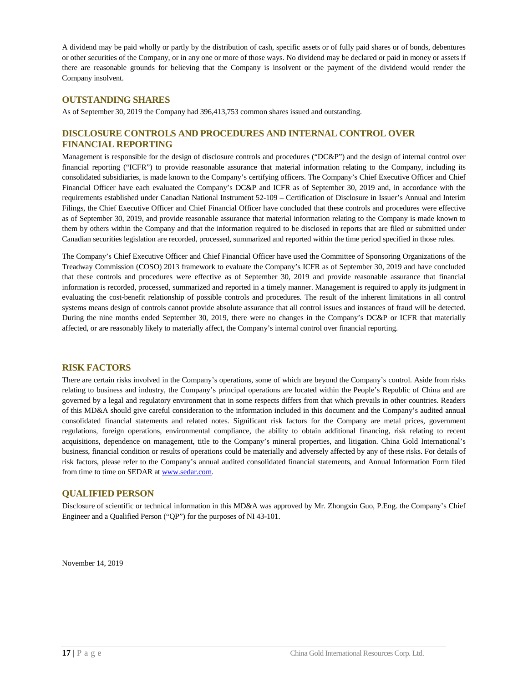A dividend may be paid wholly or partly by the distribution of cash, specific assets or of fully paid shares or of bonds, debentures or other securities of the Company, or in any one or more of those ways. No dividend may be declared or paid in money or assets if there are reasonable grounds for believing that the Company is insolvent or the payment of the dividend would render the Company insolvent.

#### <span id="page-17-0"></span>**OUTSTANDING SHARES**

As of September 30, 2019 the Company had 396,413,753 common shares issued and outstanding.

#### <span id="page-17-1"></span>**DISCLOSURE CONTROLS AND PROCEDURES AND INTERNAL CONTROL OVER FINANCIAL REPORTING**

Management is responsible for the design of disclosure controls and procedures ("DC&P") and the design of internal control over financial reporting ("ICFR") to provide reasonable assurance that material information relating to the Company, including its consolidated subsidiaries, is made known to the Company's certifying officers. The Company's Chief Executive Officer and Chief Financial Officer have each evaluated the Company's DC&P and ICFR as of September 30, 2019 and, in accordance with the requirements established under Canadian National Instrument 52-109 – Certification of Disclosure in Issuer's Annual and Interim Filings, the Chief Executive Officer and Chief Financial Officer have concluded that these controls and procedures were effective as of September 30, 2019, and provide reasonable assurance that material information relating to the Company is made known to them by others within the Company and that the information required to be disclosed in reports that are filed or submitted under Canadian securities legislation are recorded, processed, summarized and reported within the time period specified in those rules.

The Company's Chief Executive Officer and Chief Financial Officer have used the Committee of Sponsoring Organizations of the Treadway Commission (COSO) 2013 framework to evaluate the Company's ICFR as of September 30, 2019 and have concluded that these controls and procedures were effective as of September 30, 2019 and provide reasonable assurance that financial information is recorded, processed, summarized and reported in a timely manner. Management is required to apply its judgment in evaluating the cost-benefit relationship of possible controls and procedures. The result of the inherent limitations in all control systems means design of controls cannot provide absolute assurance that all control issues and instances of fraud will be detected. During the nine months ended September 30, 2019, there were no changes in the Company's DC&P or ICFR that materially affected, or are reasonably likely to materially affect, the Company's internal control over financial reporting.

#### <span id="page-17-2"></span>**RISK FACTORS**

There are certain risks involved in the Company's operations, some of which are beyond the Company's control. Aside from risks relating to business and industry, the Company's principal operations are located within the People's Republic of China and are governed by a legal and regulatory environment that in some respects differs from that which prevails in other countries. Readers of this MD&A should give careful consideration to the information included in this document and the Company's audited annual consolidated financial statements and related notes. Significant risk factors for the Company are metal prices, government regulations, foreign operations, environmental compliance, the ability to obtain additional financing, risk relating to recent acquisitions, dependence on management, title to the Company's mineral properties, and litigation. China Gold International's business, financial condition or results of operations could be materially and adversely affected by any of these risks. For details of risk factors, please refer to the Company's annual audited consolidated financial statements, and Annual Information Form filed from time to time on SEDAR a[t www.sedar.com.](http://www.sedar.com/)

#### <span id="page-17-3"></span>**QUALIFIED PERSON**

Disclosure of scientific or technical information in this MD&A was approved by Mr. Zhongxin Guo, P.Eng. the Company's Chief Engineer and a Qualified Person ("QP") for the purposes of NI 43-101.

November 14, 2019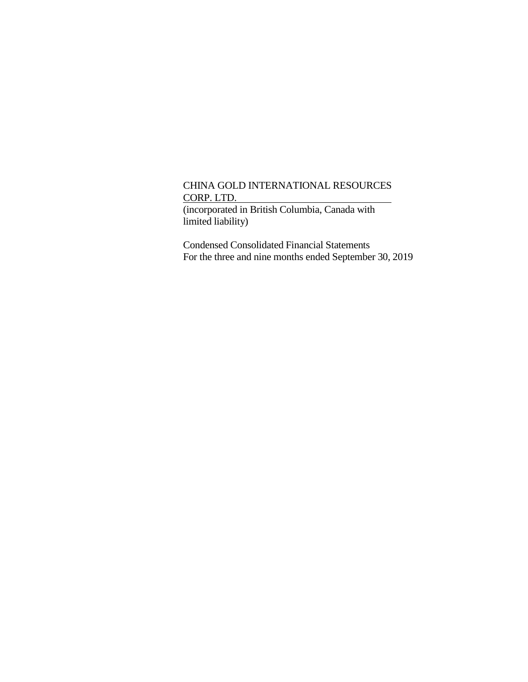(incorporated in British Columbia, Canada with limited liability)

Condensed Consolidated Financial Statements For the three and nine months ended September 30, 2019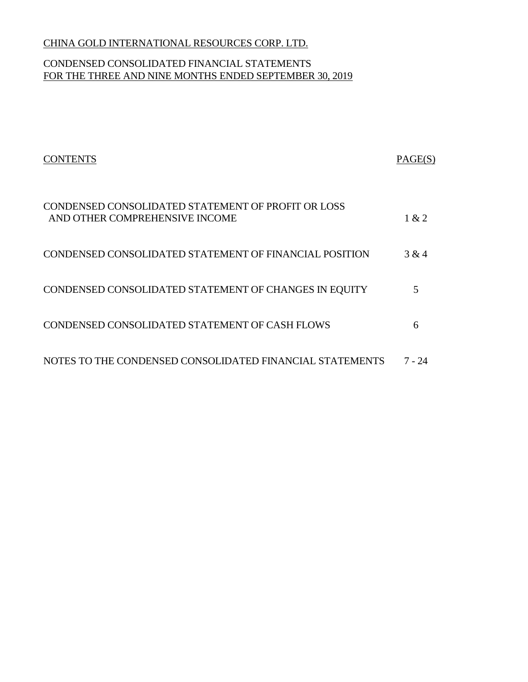# CONDENSED CONSOLIDATED FINANCIAL STATEMENTS FOR THE THREE AND NINE MONTHS ENDED SEPTEMBER 30, 2019

| <b>CONTENTS</b>                                                                      | PAGE(S) |
|--------------------------------------------------------------------------------------|---------|
| CONDENSED CONSOLIDATED STATEMENT OF PROFIT OR LOSS<br>AND OTHER COMPREHENSIVE INCOME | 1 & 2   |
| CONDENSED CONSOLIDATED STATEMENT OF FINANCIAL POSITION                               | 3 & 4   |
| CONDENSED CONSOLIDATED STATEMENT OF CHANGES IN EQUITY                                |         |
| CONDENSED CONSOLIDATED STATEMENT OF CASH FLOWS                                       | 6       |
| NOTES TO THE CONDENSED CONSOLIDATED FINANCIAL STATEMENTS                             | 7 - 24  |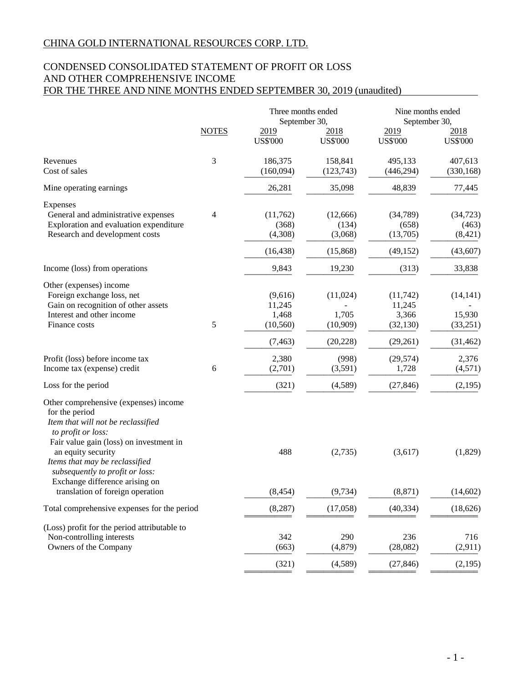# CONDENSED CONSOLIDATED STATEMENT OF PROFIT OR LOSS AND OTHER COMPREHENSIVE INCOME FOR THE THREE AND NINE MONTHS ENDED SEPTEMBER 30, 2019 (unaudited)

|                                                                                                                                                                                                                                                                                                                                 |              | Three months ended<br>September 30,     | Nine months ended<br>September 30, |                                           |                                 |
|---------------------------------------------------------------------------------------------------------------------------------------------------------------------------------------------------------------------------------------------------------------------------------------------------------------------------------|--------------|-----------------------------------------|------------------------------------|-------------------------------------------|---------------------------------|
|                                                                                                                                                                                                                                                                                                                                 | <b>NOTES</b> | 2019<br><b>US\$'000</b>                 | 2018<br><b>US\$'000</b>            | 2019<br><b>US\$'000</b>                   | 2018<br><b>US\$'000</b>         |
| Revenues<br>Cost of sales                                                                                                                                                                                                                                                                                                       | 3            | 186,375<br>(160,094)                    | 158,841<br>(123, 743)              | 495,133<br>(446, 294)                     | 407,613<br>(330, 168)           |
| Mine operating earnings                                                                                                                                                                                                                                                                                                         |              | 26,281                                  | 35,098                             | 48,839                                    | 77,445                          |
| Expenses<br>General and administrative expenses<br>Exploration and evaluation expenditure<br>Research and development costs                                                                                                                                                                                                     | 4            | (11,762)<br>(368)<br>(4,308)            | (12,666)<br>(134)<br>(3,068)       | (34,789)<br>(658)<br>(13,705)             | (34, 723)<br>(463)<br>(8, 421)  |
|                                                                                                                                                                                                                                                                                                                                 |              | (16, 438)                               | (15,868)                           | (49, 152)                                 | (43, 607)                       |
| Income (loss) from operations                                                                                                                                                                                                                                                                                                   |              | 9,843                                   | 19,230                             | (313)                                     | 33,838                          |
| Other (expenses) income<br>Foreign exchange loss, net<br>Gain on recognition of other assets<br>Interest and other income<br>Finance costs                                                                                                                                                                                      | 5            | (9,616)<br>11,245<br>1,468<br>(10, 560) | (11,024)<br>1,705<br>(10,909)      | (11, 742)<br>11,245<br>3,366<br>(32, 130) | (14, 141)<br>15,930<br>(33,251) |
|                                                                                                                                                                                                                                                                                                                                 |              | (7, 463)                                | (20, 228)                          | (29,261)                                  | (31, 462)                       |
| Profit (loss) before income tax<br>Income tax (expense) credit                                                                                                                                                                                                                                                                  | 6            | 2,380<br>(2,701)                        | (998)<br>(3,591)                   | (29, 574)<br>1,728                        | 2,376<br>(4,571)                |
| Loss for the period                                                                                                                                                                                                                                                                                                             |              | (321)                                   | (4,589)                            | (27, 846)                                 | (2,195)                         |
| Other comprehensive (expenses) income<br>for the period<br>Item that will not be reclassified<br>to profit or loss:<br>Fair value gain (loss) on investment in<br>an equity security<br>Items that may be reclassified<br>subsequently to profit or loss:<br>Exchange difference arising on<br>translation of foreign operation |              | 488<br>(8, 454)                         | (2,735)<br>(9, 734)                | (3,617)<br>(8, 871)                       | (1,829)<br>(14, 602)            |
| Total comprehensive expenses for the period                                                                                                                                                                                                                                                                                     |              | (8, 287)                                | (17,058)                           | (40, 334)                                 | (18, 626)                       |
| (Loss) profit for the period attributable to<br>Non-controlling interests<br>Owners of the Company                                                                                                                                                                                                                              |              | 342<br>(663)<br>(321)                   | 290<br>(4, 879)<br>(4,589)         | 236<br>(28,082)<br>(27, 846)              | 716<br>(2,911)<br>(2,195)       |
|                                                                                                                                                                                                                                                                                                                                 |              |                                         |                                    |                                           |                                 |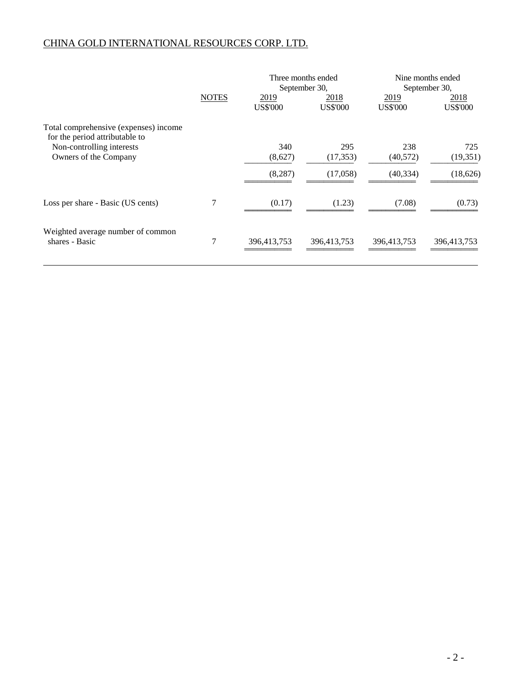|                                                                         |              |                         | Three months ended<br>September 30, |                         | Nine months ended<br>September 30, |
|-------------------------------------------------------------------------|--------------|-------------------------|-------------------------------------|-------------------------|------------------------------------|
|                                                                         | <b>NOTES</b> | 2019<br><b>US\$'000</b> | 2018<br><b>US\$'000</b>             | 2019<br><b>US\$'000</b> | 2018<br><b>US\$'000</b>            |
| Total comprehensive (expenses) income<br>for the period attributable to |              |                         |                                     |                         |                                    |
| Non-controlling interests                                               |              | 340                     | 295                                 | 238                     | 725                                |
| Owners of the Company                                                   |              | (8,627)                 | (17, 353)                           | (40,572)                | (19, 351)                          |
|                                                                         |              | (8, 287)                | (17,058)                            | (40, 334)               | (18, 626)                          |
| Loss per share - Basic (US cents)                                       | 7            | (0.17)                  | (1.23)                              | (7.08)                  | (0.73)                             |
| Weighted average number of common<br>shares - Basic                     | 7            | 396,413,753             | 396,413,753                         | 396,413,753             | 396,413,753                        |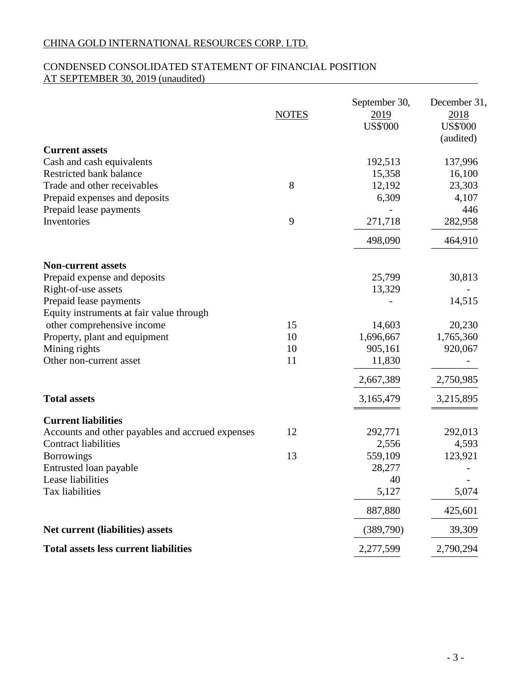# CONDENSED CONSOLIDATED STATEMENT OF FINANCIAL POSITION AT SEPTEMBER 30, 2019 (unaudited)

|                                                      | <b>NOTES</b> | September 30,<br>2019<br><b>US\$'000</b> | December 31,<br>2018<br><b>US\$'000</b><br>(audited) |
|------------------------------------------------------|--------------|------------------------------------------|------------------------------------------------------|
| <b>Current assets</b>                                |              |                                          |                                                      |
| Cash and cash equivalents<br>Restricted bank balance |              | 192,513<br>15,358                        | 137,996<br>16,100                                    |
| Trade and other receivables                          | 8            | 12,192                                   | 23,303                                               |
| Prepaid expenses and deposits                        |              | 6,309                                    | 4,107                                                |
| Prepaid lease payments                               |              |                                          | 446                                                  |
| Inventories                                          | 9            | 271,718                                  | 282,958                                              |
|                                                      |              | 498,090                                  | 464,910                                              |
| <b>Non-current assets</b>                            |              |                                          |                                                      |
| Prepaid expense and deposits                         |              | 25,799                                   | 30,813                                               |
| Right-of-use assets                                  |              | 13,329                                   |                                                      |
| Prepaid lease payments                               |              |                                          | 14,515                                               |
| Equity instruments at fair value through             |              |                                          |                                                      |
| other comprehensive income                           | 15           | 14,603                                   | 20,230                                               |
| Property, plant and equipment                        | 10           | 1,696,667                                | 1,765,360                                            |
| Mining rights                                        | 10           | 905,161                                  | 920,067                                              |
| Other non-current asset                              | 11           | 11,830                                   |                                                      |
|                                                      |              | 2,667,389                                | 2,750,985                                            |
| <b>Total assets</b>                                  |              | 3,165,479                                | 3,215,895                                            |
| <b>Current liabilities</b>                           |              |                                          |                                                      |
| Accounts and other payables and accrued expenses     | 12           | 292,771                                  | 292,013                                              |
| <b>Contract liabilities</b>                          |              | 2,556                                    | 4,593                                                |
| <b>Borrowings</b>                                    | 13           | 559,109                                  | 123,921                                              |
| Entrusted loan payable                               |              | 28,277                                   |                                                      |
| Lease liabilities                                    |              | 40                                       |                                                      |
| Tax liabilities                                      |              | 5,127                                    | 5,074                                                |
|                                                      |              | 887,880                                  | 425,601                                              |
| Net current (liabilities) assets                     |              | (389,790)                                | 39,309                                               |
| <b>Total assets less current liabilities</b>         |              | 2,277,599                                | 2,790,294                                            |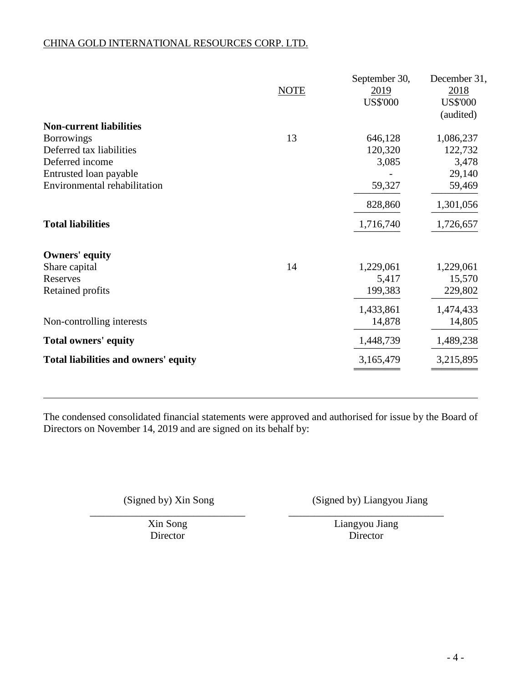|                                      | <b>NOTE</b> | September 30,<br>2019<br><b>US\$'000</b> | December 31,<br>2018<br><b>US\$'000</b><br>(audited) |
|--------------------------------------|-------------|------------------------------------------|------------------------------------------------------|
| <b>Non-current liabilities</b>       |             |                                          |                                                      |
| <b>Borrowings</b>                    | 13          | 646,128                                  | 1,086,237                                            |
| Deferred tax liabilities             |             | 120,320                                  | 122,732                                              |
| Deferred income                      |             | 3,085                                    | 3,478                                                |
| Entrusted loan payable               |             |                                          | 29,140                                               |
| Environmental rehabilitation         |             | 59,327                                   | 59,469                                               |
|                                      |             | 828,860                                  | 1,301,056                                            |
| <b>Total liabilities</b>             |             | 1,716,740                                | 1,726,657                                            |
| <b>Owners' equity</b>                |             |                                          |                                                      |
| Share capital                        | 14          | 1,229,061                                | 1,229,061                                            |
| Reserves                             |             | 5,417                                    | 15,570                                               |
| Retained profits                     |             | 199,383                                  | 229,802                                              |
|                                      |             | 1,433,861                                | 1,474,433                                            |
| Non-controlling interests            |             | 14,878                                   | 14,805                                               |
| <b>Total owners' equity</b>          |             | 1,448,739                                | 1,489,238                                            |
| Total liabilities and owners' equity |             | 3,165,479                                | 3,215,895                                            |
|                                      |             |                                          |                                                      |

The condensed consolidated financial statements were approved and authorised for issue by the Board of Directors on November 14, 2019 and are signed on its behalf by:

(Signed by) Xin Song (Signed by) Liangyou Jiang

\_\_\_\_\_\_\_\_\_\_\_\_\_\_\_\_\_\_\_\_\_\_\_\_\_\_\_\_\_\_ \_\_\_\_\_\_\_\_\_\_\_\_\_\_\_\_\_\_\_\_\_\_\_\_\_\_\_\_\_\_

Xin Song Liangyou Jiang Director Director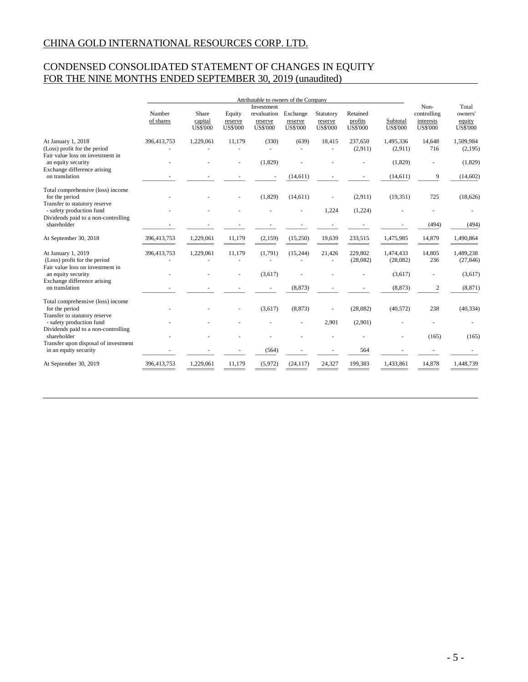# CONDENSED CONSOLIDATED STATEMENT OF CHANGES IN EQUITY FOR THE NINE MONTHS ENDED SEPTEMBER 30, 2019 (unaudited)

|                                                                                        | Attributable to owners of the Company |                                     |                                      |                                                         |                                        |                                         | Non-                                   | Total                       |                                             |                                      |
|----------------------------------------------------------------------------------------|---------------------------------------|-------------------------------------|--------------------------------------|---------------------------------------------------------|----------------------------------------|-----------------------------------------|----------------------------------------|-----------------------------|---------------------------------------------|--------------------------------------|
|                                                                                        | Number<br>of shares                   | Share<br>capital<br><b>US\$'000</b> | Equity<br>reserve<br><b>US\$'000</b> | Investment<br>revaluation<br>reserve<br><b>US\$'000</b> | Exchange<br>reserve<br><b>US\$'000</b> | Statutory<br>reserve<br><b>US\$'000</b> | Retained<br>profits<br><b>US\$'000</b> | Subtotal<br><b>US\$'000</b> | controlling<br>interests<br><b>US\$'000</b> | owners'<br>equity<br><b>US\$'000</b> |
| At January 1, 2018<br>(Loss) profit for the period                                     | 396,413,753                           | 1,229,061                           | 11,179                               | (330)<br>$\overline{\phantom{a}}$                       | (639)                                  | 18,415                                  | 237,650<br>(2,911)                     | 1,495,336<br>(2,911)        | 14,648<br>716                               | 1,509,984<br>(2,195)                 |
| Fair value loss on investment in<br>an equity security<br>Exchange difference arising  |                                       |                                     |                                      | (1,829)                                                 |                                        |                                         |                                        | (1,829)                     |                                             | (1,829)                              |
| on translation                                                                         |                                       |                                     |                                      |                                                         | (14,611)                               |                                         |                                        | (14,611)                    | 9                                           | (14, 602)                            |
| Total comprehensive (loss) income<br>for the period<br>Transfer to statutory reserve   |                                       |                                     |                                      | (1,829)                                                 | (14,611)                               |                                         | (2,911)                                | (19, 351)                   | 725                                         | (18,626)                             |
| - safety production fund<br>Dividends paid to a non-controlling                        |                                       |                                     |                                      |                                                         |                                        | 1,224                                   | (1,224)                                |                             |                                             |                                      |
| shareholder                                                                            |                                       |                                     |                                      |                                                         |                                        |                                         |                                        |                             | (494)                                       | (494)                                |
| At September 30, 2018                                                                  | 396,413,753                           | 1.229.061                           | 11.179                               | (2, 159)                                                | (15,250)                               | 19,639                                  | 233,515                                | 1,475,985                   | 14,879                                      | 1,490,864                            |
| At January 1, 2019<br>(Loss) profit for the period<br>Fair value loss on investment in | 396,413,753                           | 1,229,061                           | 11,179                               | (1,791)                                                 | (15, 244)                              | 21,426                                  | 229,802<br>(28,082)                    | 1,474,433<br>(28,082)       | 14,805<br>236                               | 1,489,238<br>(27, 846)               |
| an equity security<br>Exchange difference arising                                      |                                       |                                     |                                      | (3,617)                                                 |                                        |                                         |                                        | (3,617)                     |                                             | (3,617)                              |
| on translation                                                                         |                                       |                                     |                                      |                                                         | (8, 873)                               |                                         |                                        | (8, 873)                    | $\boldsymbol{2}$                            | (8, 871)                             |
| Total comprehensive (loss) income<br>for the period<br>Transfer to statutory reserve   |                                       |                                     |                                      | (3,617)                                                 | (8, 873)                               |                                         | (28,082)                               | (40, 572)                   | 238                                         | (40, 334)                            |
| - safety production fund<br>Dividends paid to a non-controlling                        |                                       |                                     |                                      |                                                         |                                        | 2,901                                   | (2,901)                                |                             |                                             |                                      |
| shareholder<br>Transfer upon disposal of investment                                    |                                       |                                     |                                      |                                                         |                                        |                                         |                                        |                             | (165)                                       | (165)                                |
| in an equity security                                                                  |                                       |                                     |                                      | (564)                                                   |                                        |                                         | 564                                    |                             |                                             |                                      |
| At September 30, 2019                                                                  | 396,413,753                           | 1,229,061                           | 11.179                               | (5,972)                                                 | (24, 117)                              | 24,327                                  | 199,383                                | 1,433,861                   | 14,878                                      | 1.448.739                            |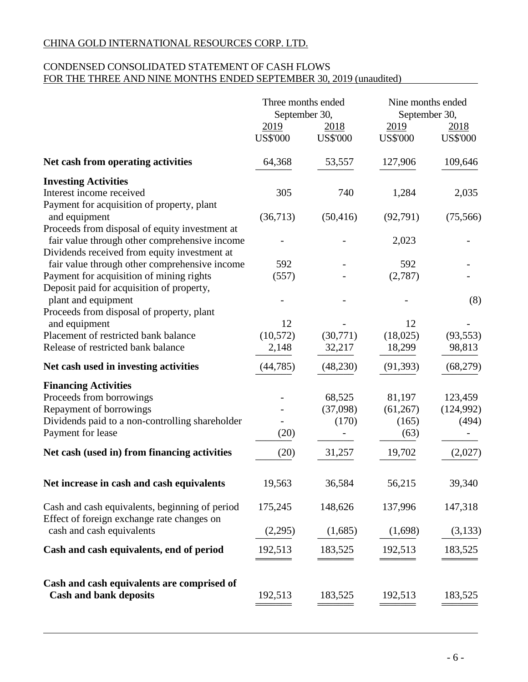# CONDENSED CONSOLIDATED STATEMENT OF CASH FLOWS FOR THE THREE AND NINE MONTHS ENDED SEPTEMBER 30, 2019 (unaudited)

|                                                                                               | Three months ended<br>September 30, |                         | Nine months ended<br>September 30, |                         |
|-----------------------------------------------------------------------------------------------|-------------------------------------|-------------------------|------------------------------------|-------------------------|
|                                                                                               | 2019<br><b>US\$'000</b>             | 2018<br><b>US\$'000</b> | 2019<br><b>US\$'000</b>            | 2018<br><b>US\$'000</b> |
| Net cash from operating activities                                                            | 64,368                              | 53,557                  | 127,906                            | 109,646                 |
| <b>Investing Activities</b>                                                                   |                                     |                         |                                    |                         |
| Interest income received                                                                      | 305                                 | 740                     | 1,284                              | 2,035                   |
| Payment for acquisition of property, plant                                                    |                                     |                         |                                    |                         |
| and equipment                                                                                 | (36,713)                            | (50, 416)               | (92, 791)                          | (75, 566)               |
| Proceeds from disposal of equity investment at                                                |                                     |                         |                                    |                         |
| fair value through other comprehensive income<br>Dividends received from equity investment at |                                     |                         | 2,023                              |                         |
| fair value through other comprehensive income                                                 | 592                                 |                         | 592                                |                         |
| Payment for acquisition of mining rights                                                      | (557)                               |                         | (2,787)                            |                         |
| Deposit paid for acquisition of property,                                                     |                                     |                         |                                    |                         |
| plant and equipment                                                                           |                                     |                         |                                    | (8)                     |
| Proceeds from disposal of property, plant                                                     |                                     |                         |                                    |                         |
| and equipment                                                                                 | 12                                  |                         | 12                                 |                         |
| Placement of restricted bank balance                                                          | (10, 572)                           | (30,771)                | (18,025)                           | (93, 553)               |
| Release of restricted bank balance                                                            | 2,148                               | 32,217                  | 18,299                             | 98,813                  |
| Net cash used in investing activities                                                         | (44, 785)                           | (48, 230)               | (91, 393)                          | (68,279)                |
| <b>Financing Activities</b>                                                                   |                                     |                         |                                    |                         |
| Proceeds from borrowings                                                                      |                                     | 68,525                  | 81,197                             | 123,459                 |
| Repayment of borrowings                                                                       |                                     | (37,098)                | (61,267)                           | (124, 992)              |
| Dividends paid to a non-controlling shareholder                                               |                                     | (170)                   | (165)                              | (494)                   |
| Payment for lease                                                                             | (20)                                |                         | (63)                               |                         |
| Net cash (used in) from financing activities                                                  | (20)                                | 31,257                  | 19,702                             | (2,027)                 |
| Net increase in cash and cash equivalents                                                     | 19,563                              | 36,584                  | 56,215                             | 39,340                  |
| Cash and cash equivalents, beginning of period                                                | 175,245                             | 148,626                 | 137,996                            | 147,318                 |
| Effect of foreign exchange rate changes on<br>cash and cash equivalents                       | (2,295)                             | (1,685)                 | (1,698)                            | (3,133)                 |
|                                                                                               |                                     |                         |                                    |                         |
| Cash and cash equivalents, end of period                                                      | 192,513                             | 183,525                 | 192,513                            | 183,525                 |
| Cash and cash equivalents are comprised of                                                    |                                     |                         |                                    |                         |
| <b>Cash and bank deposits</b>                                                                 | 192,513                             | 183,525                 | 192,513                            | 183,525                 |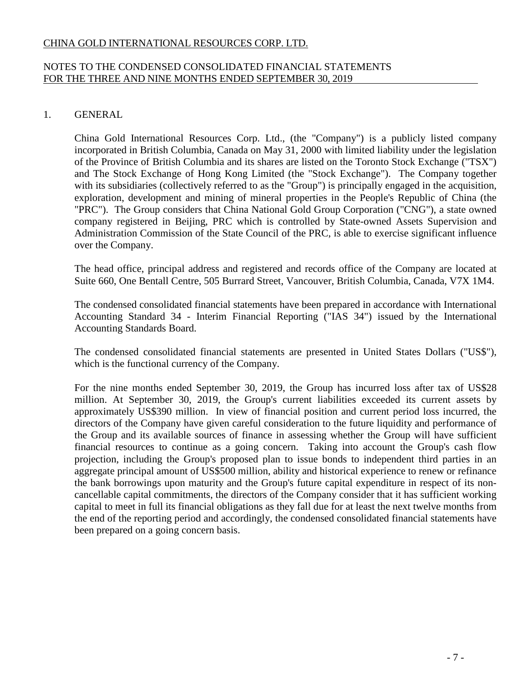### NOTES TO THE CONDENSED CONSOLIDATED FINANCIAL STATEMENTS FOR THE THREE AND NINE MONTHS ENDED SEPTEMBER 30, 2019

# 1. GENERAL

China Gold International Resources Corp. Ltd., (the "Company") is a publicly listed company incorporated in British Columbia, Canada on May 31, 2000 with limited liability under the legislation of the Province of British Columbia and its shares are listed on the Toronto Stock Exchange ("TSX") and The Stock Exchange of Hong Kong Limited (the "Stock Exchange"). The Company together with its subsidiaries (collectively referred to as the "Group") is principally engaged in the acquisition, exploration, development and mining of mineral properties in the People's Republic of China (the "PRC"). The Group considers that China National Gold Group Corporation ("CNG"), a state owned company registered in Beijing, PRC which is controlled by State-owned Assets Supervision and Administration Commission of the State Council of the PRC, is able to exercise significant influence over the Company.

The head office, principal address and registered and records office of the Company are located at Suite 660, One Bentall Centre, 505 Burrard Street, Vancouver, British Columbia, Canada, V7X 1M4.

The condensed consolidated financial statements have been prepared in accordance with International Accounting Standard 34 - Interim Financial Reporting ("IAS 34") issued by the International Accounting Standards Board.

The condensed consolidated financial statements are presented in United States Dollars ("US\$"), which is the functional currency of the Company.

For the nine months ended September 30, 2019, the Group has incurred loss after tax of US\$28 million. At September 30, 2019, the Group's current liabilities exceeded its current assets by approximately US\$390 million. In view of financial position and current period loss incurred, the directors of the Company have given careful consideration to the future liquidity and performance of the Group and its available sources of finance in assessing whether the Group will have sufficient financial resources to continue as a going concern. Taking into account the Group's cash flow projection, including the Group's proposed plan to issue bonds to independent third parties in an aggregate principal amount of US\$500 million, ability and historical experience to renew or refinance the bank borrowings upon maturity and the Group's future capital expenditure in respect of its noncancellable capital commitments, the directors of the Company consider that it has sufficient working capital to meet in full its financial obligations as they fall due for at least the next twelve months from the end of the reporting period and accordingly, the condensed consolidated financial statements have been prepared on a going concern basis.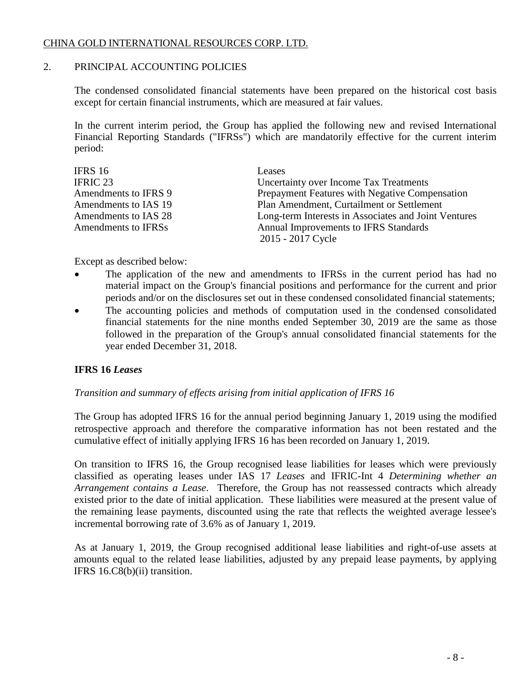### 2. PRINCIPAL ACCOUNTING POLICIES

The condensed consolidated financial statements have been prepared on the historical cost basis except for certain financial instruments, which are measured at fair values.

In the current interim period, the Group has applied the following new and revised International Financial Reporting Standards ("IFRSs") which are mandatorily effective for the current interim period:

| IFRS 16              | Leases                                               |
|----------------------|------------------------------------------------------|
| IFRIC 23             | Uncertainty over Income Tax Treatments               |
| Amendments to IFRS 9 | Prepayment Features with Negative Compensation       |
| Amendments to IAS 19 | Plan Amendment, Curtailment or Settlement            |
| Amendments to IAS 28 | Long-term Interests in Associates and Joint Ventures |
| Amendments to IFRSs  | Annual Improvements to IFRS Standards                |
|                      | 2015 - 2017 Cycle                                    |

Except as described below:

- The application of the new and amendments to IFRSs in the current period has had no material impact on the Group's financial positions and performance for the current and prior periods and/or on the disclosures set out in these condensed consolidated financial statements;
- The accounting policies and methods of computation used in the condensed consolidated financial statements for the nine months ended September 30, 2019 are the same as those followed in the preparation of the Group's annual consolidated financial statements for the year ended December 31, 2018.

# **IFRS 16** *Leases*

# *Transition and summary of effects arising from initial application of IFRS 16*

The Group has adopted IFRS 16 for the annual period beginning January 1, 2019 using the modified retrospective approach and therefore the comparative information has not been restated and the cumulative effect of initially applying IFRS 16 has been recorded on January 1, 2019.

On transition to IFRS 16, the Group recognised lease liabilities for leases which were previously classified as operating leases under IAS 17 *Leases* and IFRIC-Int 4 *Determining whether an Arrangement contains a Lease*. Therefore, the Group has not reassessed contracts which already existed prior to the date of initial application. These liabilities were measured at the present value of the remaining lease payments, discounted using the rate that reflects the weighted average lessee's incremental borrowing rate of 3.6% as of January 1, 2019.

As at January 1, 2019, the Group recognised additional lease liabilities and right-of-use assets at amounts equal to the related lease liabilities, adjusted by any prepaid lease payments, by applying IFRS 16.C8(b)(ii) transition.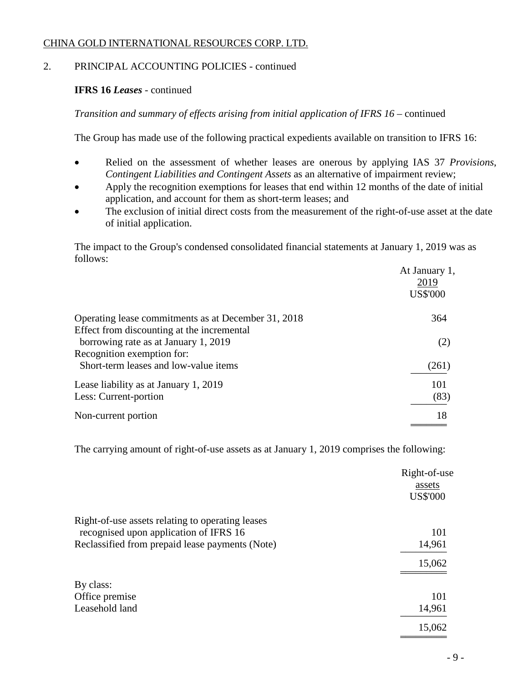# 2. PRINCIPAL ACCOUNTING POLICIES - continued

# **IFRS 16** *Leases* - continued

*Transition and summary of effects arising from initial application of IFRS 16* – continued

The Group has made use of the following practical expedients available on transition to IFRS 16:

- Relied on the assessment of whether leases are onerous by applying IAS 37 *Provisions*, *Contingent Liabilities and Contingent Assets* as an alternative of impairment review;
- Apply the recognition exemptions for leases that end within 12 months of the date of initial application, and account for them as short-term leases; and
- The exclusion of initial direct costs from the measurement of the right-of-use asset at the date of initial application.

The impact to the Group's condensed consolidated financial statements at January 1, 2019 was as follows:

|                                                     | At January 1,<br>2019<br><b>US\$'000</b> |
|-----------------------------------------------------|------------------------------------------|
| Operating lease commitments as at December 31, 2018 | 364                                      |
| Effect from discounting at the incremental          |                                          |
| borrowing rate as at January 1, 2019                | (2)                                      |
| Recognition exemption for:                          |                                          |
| Short-term leases and low-value items               | (261)                                    |
| Lease liability as at January 1, 2019               | 101                                      |
| Less: Current-portion                               | (83)                                     |
| Non-current portion                                 | 18                                       |

The carrying amount of right-of-use assets as at January 1, 2019 comprises the following:

|                                                  | Right-of-use    |
|--------------------------------------------------|-----------------|
|                                                  | assets          |
|                                                  | <b>US\$'000</b> |
| Right-of-use assets relating to operating leases |                 |
| recognised upon application of IFRS 16           | 101             |
| Reclassified from prepaid lease payments (Note)  | 14,961          |
|                                                  | 15,062          |
|                                                  |                 |
| By class:                                        |                 |
| Office premise                                   | 101             |
| Leasehold land                                   | 14,961          |
|                                                  | 15,062          |
|                                                  |                 |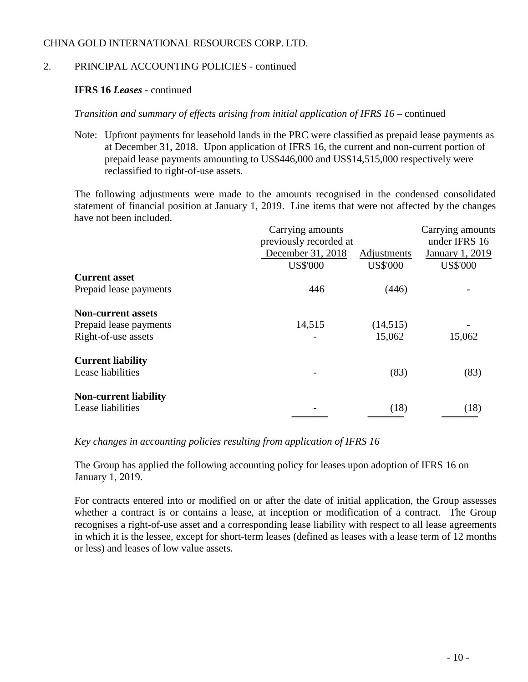# 2. PRINCIPAL ACCOUNTING POLICIES - continued

# **IFRS 16** *Leases* - continued

*Transition and summary of effects arising from initial application of IFRS 16* – continued

Note: Upfront payments for leasehold lands in the PRC were classified as prepaid lease payments as at December 31, 2018. Upon application of IFRS 16, the current and non-current portion of prepaid lease payments amounting to US\$446,000 and US\$14,515,000 respectively were reclassified to right-of-use assets.

The following adjustments were made to the amounts recognised in the condensed consolidated statement of financial position at January 1, 2019. Line items that were not affected by the changes have not been included.

|                              | Carrying amounts<br>previously recorded at |                                | Carrying amounts<br>under IFRS 16  |
|------------------------------|--------------------------------------------|--------------------------------|------------------------------------|
|                              | December 31, 2018<br><b>US\$'000</b>       | Adjustments<br><b>US\$'000</b> | January 1, 2019<br><b>US\$'000</b> |
| <b>Current asset</b>         |                                            |                                |                                    |
| Prepaid lease payments       | 446                                        | (446)                          |                                    |
| <b>Non-current assets</b>    |                                            |                                |                                    |
| Prepaid lease payments       | 14,515                                     | (14, 515)                      |                                    |
| Right-of-use assets          |                                            | 15,062                         | 15,062                             |
| <b>Current liability</b>     |                                            |                                |                                    |
| Lease liabilities            |                                            | (83)                           | (83)                               |
| <b>Non-current liability</b> |                                            |                                |                                    |
| Lease liabilities            |                                            | (18)                           | (18)                               |
|                              |                                            |                                |                                    |

*Key changes in accounting policies resulting from application of IFRS 16*

The Group has applied the following accounting policy for leases upon adoption of IFRS 16 on January 1, 2019.

For contracts entered into or modified on or after the date of initial application, the Group assesses whether a contract is or contains a lease, at inception or modification of a contract. The Group recognises a right-of-use asset and a corresponding lease liability with respect to all lease agreements in which it is the lessee, except for short-term leases (defined as leases with a lease term of 12 months or less) and leases of low value assets.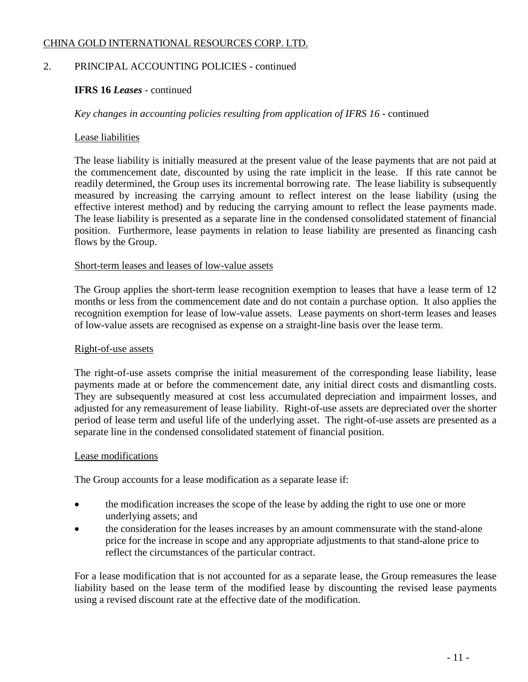# 2. PRINCIPAL ACCOUNTING POLICIES - continued

# **IFRS 16** *Leases* - continued

*Key changes in accounting policies resulting from application of IFRS 16* - continued

### Lease liabilities

The lease liability is initially measured at the present value of the lease payments that are not paid at the commencement date, discounted by using the rate implicit in the lease. If this rate cannot be readily determined, the Group uses its incremental borrowing rate. The lease liability is subsequently measured by increasing the carrying amount to reflect interest on the lease liability (using the effective interest method) and by reducing the carrying amount to reflect the lease payments made. The lease liability is presented as a separate line in the condensed consolidated statement of financial position. Furthermore, lease payments in relation to lease liability are presented as financing cash flows by the Group.

### Short-term leases and leases of low-value assets

The Group applies the short-term lease recognition exemption to leases that have a lease term of 12 months or less from the commencement date and do not contain a purchase option. It also applies the recognition exemption for lease of low-value assets. Lease payments on short-term leases and leases of low-value assets are recognised as expense on a straight-line basis over the lease term.

#### Right-of-use assets

The right-of-use assets comprise the initial measurement of the corresponding lease liability, lease payments made at or before the commencement date, any initial direct costs and dismantling costs. They are subsequently measured at cost less accumulated depreciation and impairment losses, and adjusted for any remeasurement of lease liability. Right-of-use assets are depreciated over the shorter period of lease term and useful life of the underlying asset. The right-of-use assets are presented as a separate line in the condensed consolidated statement of financial position.

#### Lease modifications

The Group accounts for a lease modification as a separate lease if:

- the modification increases the scope of the lease by adding the right to use one or more underlying assets; and
- the consideration for the leases increases by an amount commensurate with the stand-alone price for the increase in scope and any appropriate adjustments to that stand-alone price to reflect the circumstances of the particular contract.

For a lease modification that is not accounted for as a separate lease, the Group remeasures the lease liability based on the lease term of the modified lease by discounting the revised lease payments using a revised discount rate at the effective date of the modification.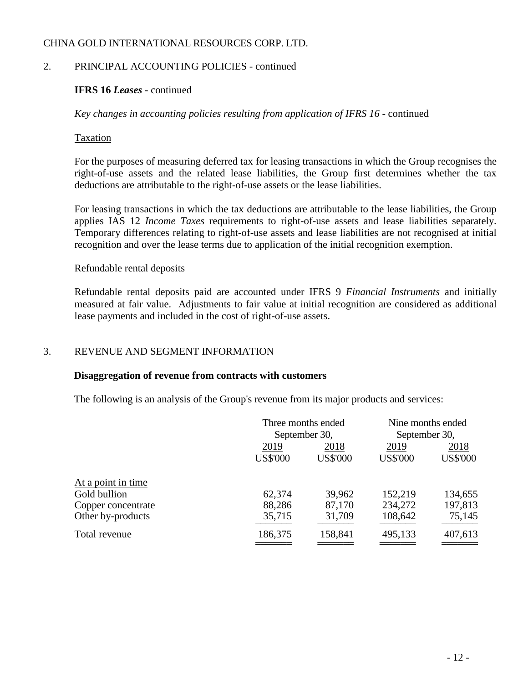# 2. PRINCIPAL ACCOUNTING POLICIES - continued

# **IFRS 16** *Leases* - continued

*Key changes in accounting policies resulting from application of IFRS 16* - continued

### Taxation

For the purposes of measuring deferred tax for leasing transactions in which the Group recognises the right-of-use assets and the related lease liabilities, the Group first determines whether the tax deductions are attributable to the right-of-use assets or the lease liabilities.

For leasing transactions in which the tax deductions are attributable to the lease liabilities, the Group applies IAS 12 *Income Taxes* requirements to right-of-use assets and lease liabilities separately. Temporary differences relating to right-of-use assets and lease liabilities are not recognised at initial recognition and over the lease terms due to application of the initial recognition exemption.

### Refundable rental deposits

Refundable rental deposits paid are accounted under IFRS 9 *Financial Instruments* and initially measured at fair value. Adjustments to fair value at initial recognition are considered as additional lease payments and included in the cost of right-of-use assets.

### 3. REVENUE AND SEGMENT INFORMATION

#### **Disaggregation of revenue from contracts with customers**

The following is an analysis of the Group's revenue from its major products and services:

|                    |                 | Three months ended |                 | Nine months ended |
|--------------------|-----------------|--------------------|-----------------|-------------------|
|                    |                 | September 30,      | September 30,   |                   |
|                    | 2019            | 2018               | 2019            | 2018              |
|                    | <b>US\$'000</b> | <b>US\$'000</b>    | <b>US\$'000</b> | <b>US\$'000</b>   |
| At a point in time |                 |                    |                 |                   |
| Gold bullion       | 62,374          | 39,962             | 152,219         | 134,655           |
| Copper concentrate | 88,286          | 87,170             | 234,272         | 197,813           |
| Other by-products  | 35,715          | 31,709             | 108,642         | 75,145            |
| Total revenue      | 186,375         | 158,841            | 495,133         | 407,613           |
|                    |                 |                    |                 |                   |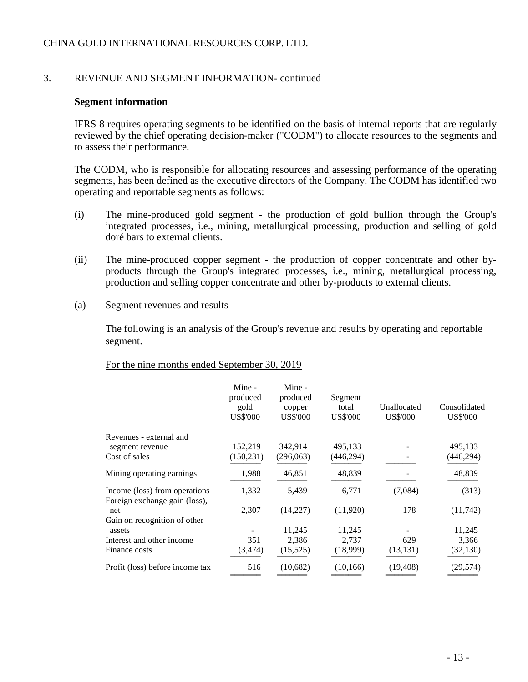### 3. REVENUE AND SEGMENT INFORMATION- continued

#### **Segment information**

IFRS 8 requires operating segments to be identified on the basis of internal reports that are regularly reviewed by the chief operating decision-maker ("CODM") to allocate resources to the segments and to assess their performance.

The CODM, who is responsible for allocating resources and assessing performance of the operating segments, has been defined as the executive directors of the Company. The CODM has identified two operating and reportable segments as follows:

- (i) The mine-produced gold segment the production of gold bullion through the Group's integrated processes, i.e., mining, metallurgical processing, production and selling of gold doré bars to external clients.
- (ii) The mine-produced copper segment the production of copper concentrate and other byproducts through the Group's integrated processes, i.e., mining, metallurgical processing, production and selling copper concentrate and other by-products to external clients.
- (a) Segment revenues and results

The following is an analysis of the Group's revenue and results by operating and reportable segment.

### For the nine months ended September 30, 2019

|                                 | Mine -          | Mine -          |                 |                 |                 |
|---------------------------------|-----------------|-----------------|-----------------|-----------------|-----------------|
|                                 | produced        | produced        | Segment         |                 |                 |
|                                 | gold            | copper          | total           | Unallocated     | Consolidated    |
|                                 | <b>US\$'000</b> | <b>US\$'000</b> | <b>US\$'000</b> | <b>US\$'000</b> | <b>US\$'000</b> |
| Revenues - external and         |                 |                 |                 |                 |                 |
| segment revenue                 | 152,219         | 342,914         | 495,133         |                 | 495,133         |
| Cost of sales                   | (150, 231)      | (296,063)       | (446,294)       |                 | (446, 294)      |
| Mining operating earnings       | 1,988           | 46,851          | 48,839          |                 | 48,839          |
| Income (loss) from operations   | 1,332           | 5,439           | 6,771           | (7,084)         | (313)           |
| Foreign exchange gain (loss),   |                 |                 |                 |                 |                 |
| net                             | 2,307           | (14,227)        | (11,920)        | 178             | (11,742)        |
| Gain on recognition of other    |                 |                 |                 |                 |                 |
| assets                          |                 | 11,245          | 11,245          |                 | 11,245          |
| Interest and other income       | 351             | 2,386           | 2,737           | 629             | 3,366           |
| Finance costs                   | (3, 474)        | (15, 525)       | (18,999)        | (13, 131)       | (32, 130)       |
| Profit (loss) before income tax | 516             | (10,682)        | (10, 166)       | (19, 408)       | (29, 574)       |
|                                 |                 |                 |                 |                 |                 |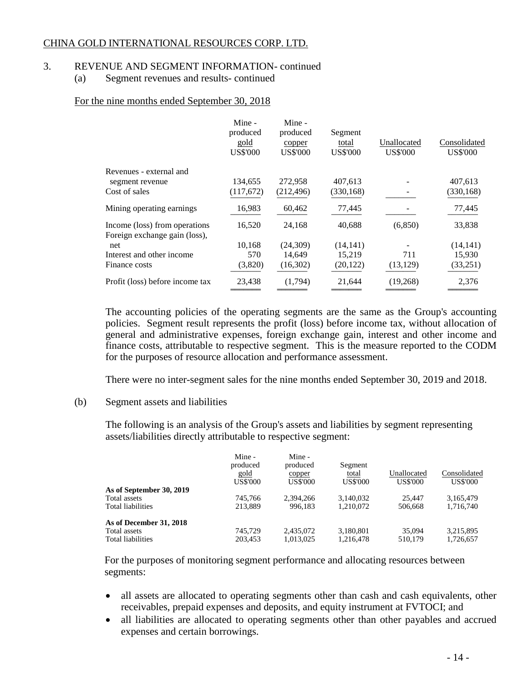### 3. REVENUE AND SEGMENT INFORMATION- continued

(a) Segment revenues and results- continued

### For the nine months ended September 30, 2018

|                                                                | Mine -<br>produced<br>gold<br><b>US\$'000</b> | Mine -<br>produced<br>copper<br><b>US\$'000</b> | Segment<br>total<br><b>US\$'000</b> | Unallocated<br><b>US\$'000</b> | Consolidated<br><b>US\$'000</b> |
|----------------------------------------------------------------|-----------------------------------------------|-------------------------------------------------|-------------------------------------|--------------------------------|---------------------------------|
| Revenues - external and                                        |                                               |                                                 |                                     |                                |                                 |
| segment revenue                                                | 134,655                                       | 272,958                                         | 407,613                             |                                | 407.613                         |
| Cost of sales                                                  | (117,672)                                     | (212, 496)                                      | (330, 168)                          |                                | (330, 168)                      |
| Mining operating earnings                                      | 16,983                                        | 60,462                                          | 77,445                              |                                | 77,445                          |
| Income (loss) from operations<br>Foreign exchange gain (loss), | 16,520                                        | 24,168                                          | 40,688                              | (6,850)                        | 33,838                          |
| net                                                            | 10,168                                        | (24,309)                                        | (14, 141)                           |                                | (14, 141)                       |
| Interest and other income                                      | 570                                           | 14,649                                          | 15,219                              | 711                            | 15,930                          |
| Finance costs                                                  | (3,820)                                       | (16,302)                                        | (20, 122)                           | (13, 129)                      | (33,251)                        |
| Profit (loss) before income tax                                | 23,438                                        | (1,794)                                         | 21,644                              | (19,268)                       | 2,376                           |

The accounting policies of the operating segments are the same as the Group's accounting policies. Segment result represents the profit (loss) before income tax, without allocation of general and administrative expenses, foreign exchange gain, interest and other income and finance costs, attributable to respective segment. This is the measure reported to the CODM for the purposes of resource allocation and performance assessment.

There were no inter-segment sales for the nine months ended September 30, 2019 and 2018.

### (b) Segment assets and liabilities

The following is an analysis of the Group's assets and liabilities by segment representing assets/liabilities directly attributable to respective segment:

|                          | Mine -<br>produced<br>gold<br>US\$'000 | Mine -<br>produced<br>copper<br><b>US\$'000</b> | Segment<br>total<br><b>US\$'000</b> | Unallocated<br><b>US\$'000</b> | Consolidated<br><b>US\$'000</b> |
|--------------------------|----------------------------------------|-------------------------------------------------|-------------------------------------|--------------------------------|---------------------------------|
| As of September 30, 2019 |                                        |                                                 |                                     |                                |                                 |
| Total assets             | 745.766                                | 2.394.266                                       | 3,140,032                           | 25.447                         | 3,165,479                       |
| Total liabilities        | 213.889                                | 996.183                                         | 1.210.072                           | 506,668                        | 1,716,740                       |
| As of December 31, 2018  |                                        |                                                 |                                     |                                |                                 |
| Total assets             | 745.729                                | 2,435,072                                       | 3,180,801                           | 35,094                         | 3,215,895                       |
| Total liabilities        | 203.453                                | 1.013.025                                       | 1.216.478                           | 510.179                        | 1.726.657                       |

For the purposes of monitoring segment performance and allocating resources between segments:

- all assets are allocated to operating segments other than cash and cash equivalents, other receivables, prepaid expenses and deposits, and equity instrument at FVTOCI; and
- all liabilities are allocated to operating segments other than other payables and accrued expenses and certain borrowings.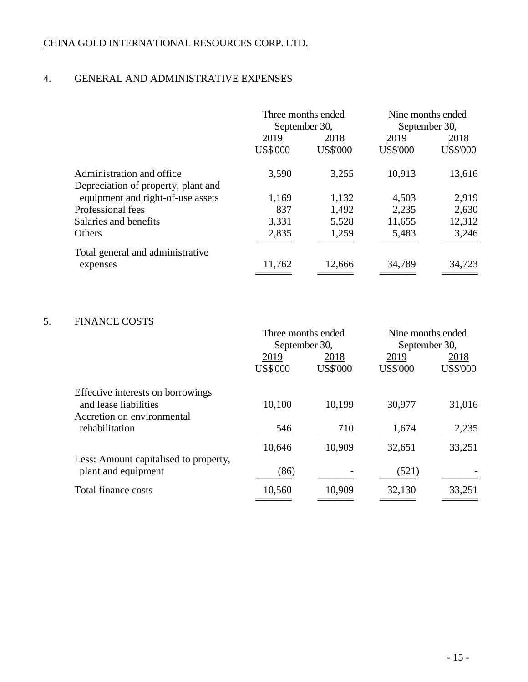# 4. GENERAL AND ADMINISTRATIVE EXPENSES

|                                     |                         | Three months ended<br>September 30, |                         | Nine months ended<br>September 30, |
|-------------------------------------|-------------------------|-------------------------------------|-------------------------|------------------------------------|
|                                     | 2019<br><b>US\$'000</b> | 2018<br><b>US\$'000</b>             | 2019<br><b>US\$'000</b> | 2018<br><b>US\$'000</b>            |
| Administration and office           | 3,590                   | 3,255                               | 10,913                  | 13,616                             |
| Depreciation of property, plant and |                         |                                     |                         |                                    |
| equipment and right-of-use assets   | 1,169                   | 1,132                               | 4,503                   | 2,919                              |
| Professional fees                   | 837                     | 1,492                               | 2,235                   | 2,630                              |
| Salaries and benefits               | 3,331                   | 5,528                               | 11,655                  | 12,312                             |
| Others                              | 2,835                   | 1,259                               | 5,483                   | 3,246                              |
| Total general and administrative    |                         |                                     |                         |                                    |
| expenses                            | 11,762                  | 12,666                              | 34,789                  | 34,723                             |

# 5. FINANCE COSTS

|                                       | Three months ended |                 | Nine months ended |                 |
|---------------------------------------|--------------------|-----------------|-------------------|-----------------|
|                                       | September 30,      |                 | September 30,     |                 |
|                                       | 2019               | 2018            | 2019              | 2018            |
|                                       | <b>US\$'000</b>    | <b>US\$'000</b> | <b>US\$'000</b>   | <b>US\$'000</b> |
| Effective interests on borrowings     |                    |                 |                   |                 |
| and lease liabilities                 | 10,100             | 10,199          | 30,977            | 31,016          |
| Accretion on environmental            |                    |                 |                   |                 |
| rehabilitation                        | 546                | 710             | 1,674             | 2,235           |
|                                       | 10,646             | 10,909          | 32,651            | 33,251          |
| Less: Amount capitalised to property, |                    |                 |                   |                 |
| plant and equipment                   | (86)               |                 | (521)             |                 |
| Total finance costs                   | 10,560             | 10,909          | 32,130            | 33,251          |
|                                       |                    |                 |                   |                 |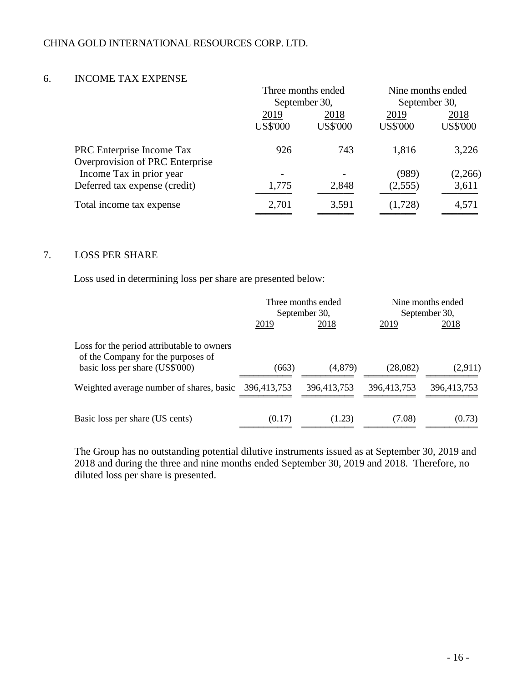### 6. INCOME TAX EXPENSE

|                                 | Three months ended           |                 | Nine months ended |                 |
|---------------------------------|------------------------------|-----------------|-------------------|-----------------|
|                                 |                              | September 30,   | September 30,     |                 |
|                                 | 2019                         | 2018            | 2019              | 2018            |
|                                 | <b>US\$'000</b>              | <b>US\$'000</b> | <b>US\$'000</b>   | <b>US\$'000</b> |
| PRC Enterprise Income Tax       | 926                          | 743             | 1,816             | 3,226           |
| Overprovision of PRC Enterprise |                              |                 |                   |                 |
| Income Tax in prior year        | $\qquad \qquad \blacksquare$ |                 | (989)             | (2,266)         |
| Deferred tax expense (credit)   | 1,775                        | 2,848           | (2,555)           | 3,611           |
| Total income tax expense        | 2,701                        | 3,591           | (1,728)           | 4,571           |
|                                 |                              |                 |                   |                 |

### 7. LOSS PER SHARE

Loss used in determining loss per share are presented below:

|                                                                                  | Three months ended<br>September 30, |             | Nine months ended<br>September 30, |             |
|----------------------------------------------------------------------------------|-------------------------------------|-------------|------------------------------------|-------------|
|                                                                                  | 2019                                | 2018        | 2019                               | 2018        |
| Loss for the period attributable to owners<br>of the Company for the purposes of |                                     |             |                                    |             |
| basic loss per share (US\$'000)                                                  | (663)                               | (4,879)     | (28,082)                           | (2,911)     |
| Weighted average number of shares, basic                                         | 396,413,753                         | 396,413,753 | 396,413,753                        | 396,413,753 |
| Basic loss per share (US cents)                                                  | (0.17)                              | (1.23)      | (7.08)                             | (0.73)      |

The Group has no outstanding potential dilutive instruments issued as at September 30, 2019 and 2018 and during the three and nine months ended September 30, 2019 and 2018. Therefore, no diluted loss per share is presented.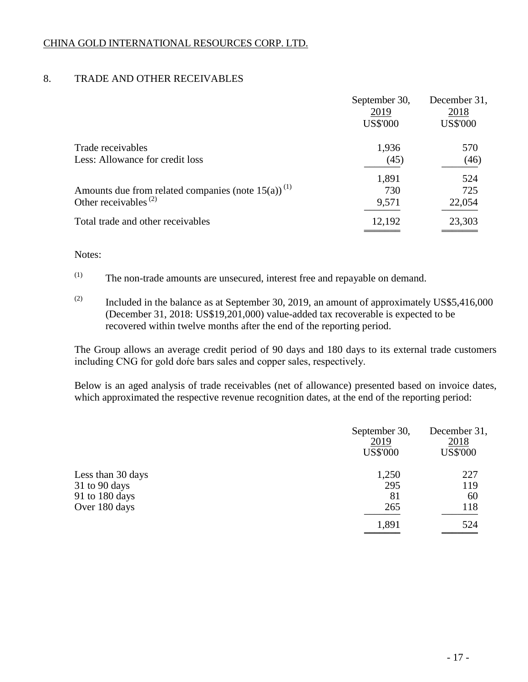# 8. TRADE AND OTHER RECEIVABLES

|                                                                                                 | September 30,<br>2019<br><b>US\$'000</b> | December 31,<br>2018<br><b>US\$'000</b> |
|-------------------------------------------------------------------------------------------------|------------------------------------------|-----------------------------------------|
| Trade receivables<br>Less: Allowance for credit loss                                            | 1,936<br>(45)                            | 570<br>(46)                             |
| Amounts due from related companies (note $15(a)$ ) <sup>(1)</sup><br>Other receivables $^{(2)}$ | 1,891<br>730<br>9,571                    | 524<br>725<br>22,054                    |
| Total trade and other receivables                                                               | 12,192                                   | 23,303                                  |

### Notes:

 $(1)$  The non-trade amounts are unsecured, interest free and repayable on demand.

 $(2)$  Included in the balance as at September 30, 2019, an amount of approximately US\$5,416,000 (December 31, 2018: US\$19,201,000) value-added tax recoverable is expected to be recovered within twelve months after the end of the reporting period.

The Group allows an average credit period of 90 days and 180 days to its external trade customers including CNG for gold doŕe bars sales and copper sales, respectively.

Below is an aged analysis of trade receivables (net of allowance) presented based on invoice dates, which approximated the respective revenue recognition dates, at the end of the reporting period:

|                   | September 30,<br>2019<br><b>US\$'000</b> | December 31,<br>2018<br><b>US\$'000</b> |
|-------------------|------------------------------------------|-----------------------------------------|
| Less than 30 days | 1,250                                    | 227                                     |
| $31$ to 90 days   | 295                                      | 119                                     |
| 91 to 180 days    | 81                                       | 60                                      |
| Over 180 days     | 265                                      | 118                                     |
|                   | 1,891                                    | 524                                     |
|                   |                                          |                                         |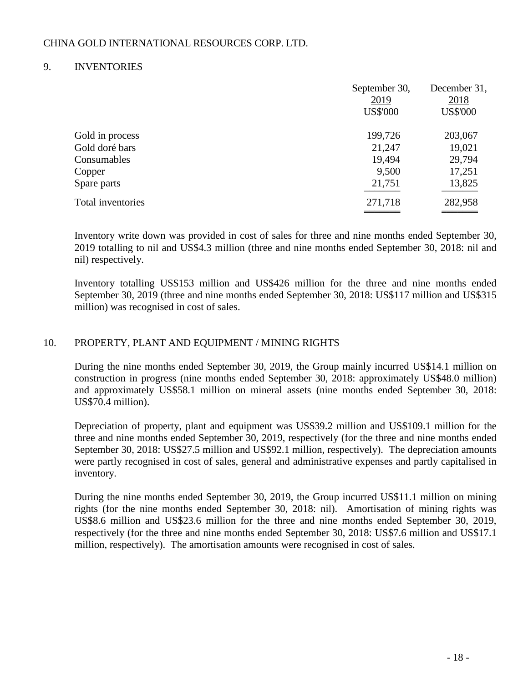### 9. INVENTORIES

|                   | September 30,<br>2019<br><b>US\$'000</b> | December 31,<br>2018<br><b>US\$'000</b> |
|-------------------|------------------------------------------|-----------------------------------------|
| Gold in process   | 199,726                                  | 203,067                                 |
| Gold doré bars    | 21,247                                   | 19,021                                  |
| Consumables       | 19,494                                   | 29,794                                  |
| Copper            | 9,500                                    | 17,251                                  |
| Spare parts       | 21,751                                   | 13,825                                  |
| Total inventories | 271,718                                  | 282,958                                 |
|                   |                                          |                                         |

Inventory write down was provided in cost of sales for three and nine months ended September 30, 2019 totalling to nil and US\$4.3 million (three and nine months ended September 30, 2018: nil and nil) respectively.

Inventory totalling US\$153 million and US\$426 million for the three and nine months ended September 30, 2019 (three and nine months ended September 30, 2018: US\$117 million and US\$315 million) was recognised in cost of sales.

# 10. PROPERTY, PLANT AND EQUIPMENT / MINING RIGHTS

During the nine months ended September 30, 2019, the Group mainly incurred US\$14.1 million on construction in progress (nine months ended September 30, 2018: approximately US\$48.0 million) and approximately US\$58.1 million on mineral assets (nine months ended September 30, 2018: US\$70.4 million).

Depreciation of property, plant and equipment was US\$39.2 million and US\$109.1 million for the three and nine months ended September 30, 2019, respectively (for the three and nine months ended September 30, 2018: US\$27.5 million and US\$92.1 million, respectively). The depreciation amounts were partly recognised in cost of sales, general and administrative expenses and partly capitalised in inventory.

During the nine months ended September 30, 2019, the Group incurred US\$11.1 million on mining rights (for the nine months ended September 30, 2018: nil). Amortisation of mining rights was US\$8.6 million and US\$23.6 million for the three and nine months ended September 30, 2019, respectively (for the three and nine months ended September 30, 2018: US\$7.6 million and US\$17.1 million, respectively). The amortisation amounts were recognised in cost of sales.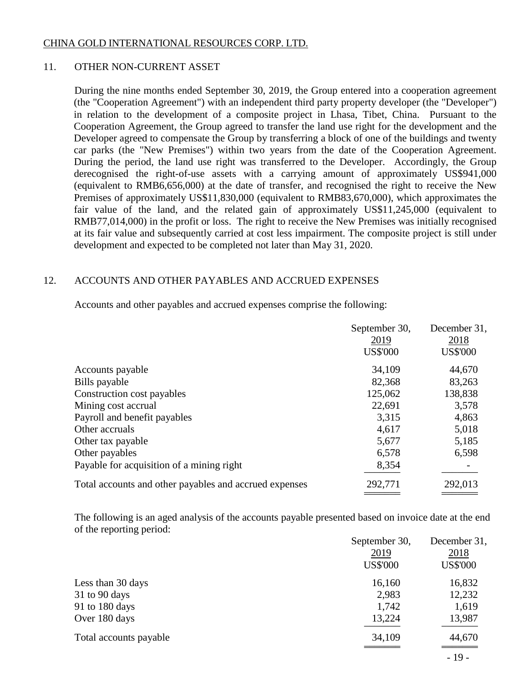### 11. OTHER NON-CURRENT ASSET

During the nine months ended September 30, 2019, the Group entered into a cooperation agreement (the "Cooperation Agreement") with an independent third party property developer (the "Developer") in relation to the development of a composite project in Lhasa, Tibet, China. Pursuant to the Cooperation Agreement, the Group agreed to transfer the land use right for the development and the Developer agreed to compensate the Group by transferring a block of one of the buildings and twenty car parks (the "New Premises") within two years from the date of the Cooperation Agreement. During the period, the land use right was transferred to the Developer. Accordingly, the Group derecognised the right-of-use assets with a carrying amount of approximately US\$941,000 (equivalent to RMB6,656,000) at the date of transfer, and recognised the right to receive the New Premises of approximately US\$11,830,000 (equivalent to RMB83,670,000), which approximates the fair value of the land, and the related gain of approximately US\$11,245,000 (equivalent to RMB77,014,000) in the profit or loss. The right to receive the New Premises was initially recognised at its fair value and subsequently carried at cost less impairment. The composite project is still under development and expected to be completed not later than May 31, 2020.

# 12. ACCOUNTS AND OTHER PAYABLES AND ACCRUED EXPENSES

Accounts and other payables and accrued expenses comprise the following:

|                                                        | September 30,   | December 31,    |
|--------------------------------------------------------|-----------------|-----------------|
|                                                        | 2019            | 2018            |
|                                                        | <b>US\$'000</b> | <b>US\$'000</b> |
| Accounts payable                                       | 34,109          | 44,670          |
| Bills payable                                          | 82,368          | 83,263          |
| Construction cost payables                             | 125,062         | 138,838         |
| Mining cost accrual                                    | 22,691          | 3,578           |
| Payroll and benefit payables                           | 3,315           | 4,863           |
| Other accruals                                         | 4,617           | 5,018           |
| Other tax payable                                      | 5,677           | 5,185           |
| Other payables                                         | 6,578           | 6,598           |
| Payable for acquisition of a mining right              | 8,354           |                 |
| Total accounts and other payables and accrued expenses | 292,771         | 292,013         |
|                                                        |                 |                 |

The following is an aged analysis of the accounts payable presented based on invoice date at the end of the reporting period:

|                        | September 30,   | December 31,    |
|------------------------|-----------------|-----------------|
|                        | 2019            | 2018            |
|                        | <b>US\$'000</b> | <b>US\$'000</b> |
| Less than 30 days      | 16,160          | 16,832          |
| $31$ to 90 days        | 2,983           | 12,232          |
| 91 to 180 days         | 1,742           | 1,619           |
| Over 180 days          | 13,224          | 13,987          |
| Total accounts payable | 34,109          | 44,670          |
|                        |                 | $-19-$          |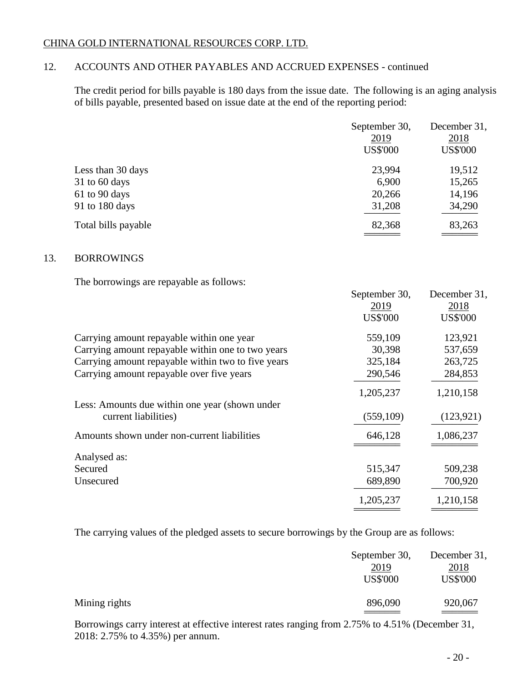# 12. ACCOUNTS AND OTHER PAYABLES AND ACCRUED EXPENSES - continued

The credit period for bills payable is 180 days from the issue date. The following is an aging analysis of bills payable, presented based on issue date at the end of the reporting period:

|                     | September 30,<br>2019<br><b>US\$'000</b> | December 31,<br>2018<br><b>US\$'000</b> |
|---------------------|------------------------------------------|-----------------------------------------|
| Less than 30 days   | 23,994                                   | 19,512                                  |
| $31$ to 60 days     | 6,900                                    | 15,265                                  |
| 61 to 90 days       | 20,266                                   | 14,196                                  |
| 91 to 180 days      | 31,208                                   | 34,290                                  |
| Total bills payable | 82,368                                   | 83,263                                  |
|                     |                                          |                                         |

### 13. BORROWINGS

The borrowings are repayable as follows:

|                                                    | September 30,   | December 31,    |
|----------------------------------------------------|-----------------|-----------------|
|                                                    | 2019            | 2018            |
|                                                    | <b>US\$'000</b> | <b>US\$'000</b> |
| Carrying amount repayable within one year          | 559,109         | 123,921         |
| Carrying amount repayable within one to two years  | 30,398          | 537,659         |
| Carrying amount repayable within two to five years | 325,184         | 263,725         |
| Carrying amount repayable over five years          | 290,546         | 284,853         |
|                                                    | 1,205,237       | 1,210,158       |
| Less: Amounts due within one year (shown under     |                 |                 |
| current liabilities)                               | (559, 109)      | (123, 921)      |
| Amounts shown under non-current liabilities        | 646,128         | 1,086,237       |
| Analysed as:                                       |                 |                 |
| Secured                                            | 515,347         | 509,238         |
| Unsecured                                          | 689,890         | 700,920         |
|                                                    | 1,205,237       | 1,210,158       |
|                                                    |                 |                 |

The carrying values of the pledged assets to secure borrowings by the Group are as follows:

|               | September 30,<br>2019<br><b>US\$'000</b> | December 31,<br>2018<br><b>US\$'000</b> |
|---------------|------------------------------------------|-----------------------------------------|
| Mining rights | 896,090                                  | 920,067                                 |

Borrowings carry interest at effective interest rates ranging from 2.75% to 4.51% (December 31, 2018: 2.75% to 4.35%) per annum.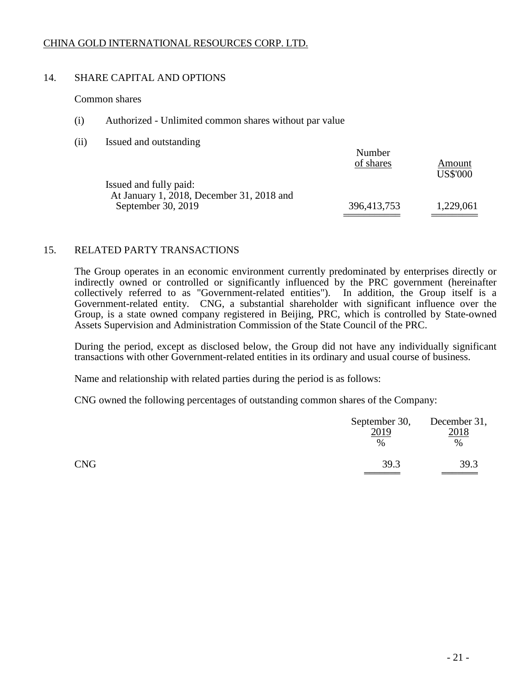# 14. SHARE CAPITAL AND OPTIONS

Common shares

- (i) Authorized Unlimited common shares without par value
- (ii) Issued and outstanding

|             | <b>US\$'000</b> |
|-------------|-----------------|
| 396,413,753 | 1,229,061       |
|             |                 |

### 15. RELATED PARTY TRANSACTIONS

The Group operates in an economic environment currently predominated by enterprises directly or indirectly owned or controlled or significantly influenced by the PRC government (hereinafter collectively referred to as "Government-related entities"). In addition, the Group itself is a Government-related entity. CNG, a substantial shareholder with significant influence over the Group, is a state owned company registered in Beijing, PRC, which is controlled by State-owned Assets Supervision and Administration Commission of the State Council of the PRC.

During the period, except as disclosed below, the Group did not have any individually significant transactions with other Government-related entities in its ordinary and usual course of business.

Name and relationship with related parties during the period is as follows:

CNG owned the following percentages of outstanding common shares of the Company:

|            | September 30, December 31,<br>2019<br>$\%$ | 2018<br>$\%$ |
|------------|--------------------------------------------|--------------|
| <b>CNG</b> | 39.3                                       | 39.3         |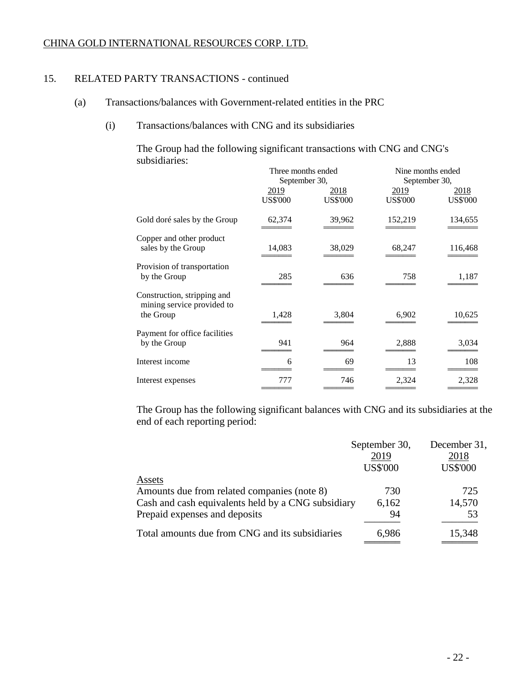### 15. RELATED PARTY TRANSACTIONS - continued

- (a) Transactions/balances with Government-related entities in the PRC
	- (i) Transactions/balances with CNG and its subsidiaries

The Group had the following significant transactions with CNG and CNG's subsidiaries: Three months ended Nine months ended

|                                                                        | Three months ended<br>September 30, |                         | Nine months ended<br>September 30, |                         |
|------------------------------------------------------------------------|-------------------------------------|-------------------------|------------------------------------|-------------------------|
|                                                                        | 2019<br><b>US\$'000</b>             | 2018<br><b>US\$'000</b> | 2019<br><b>US\$'000</b>            | 2018<br><b>US\$'000</b> |
| Gold doré sales by the Group                                           | 62,374                              | 39,962                  | 152,219                            | 134,655                 |
| Copper and other product<br>sales by the Group                         | 14,083                              | 38,029                  | 68,247                             | 116,468                 |
| Provision of transportation<br>by the Group                            | 285                                 | 636                     | 758                                | 1,187                   |
| Construction, stripping and<br>mining service provided to<br>the Group | 1,428                               | 3,804                   | 6,902                              | 10,625                  |
| Payment for office facilities<br>by the Group                          | 941                                 | 964                     | 2,888                              | 3,034                   |
| Interest income                                                        | 6                                   | 69                      | 13                                 | 108                     |
| Interest expenses                                                      | 777                                 | 746                     | 2,324                              | 2,328                   |

The Group has the following significant balances with CNG and its subsidiaries at the end of each reporting period:

|                                                                                                                                              | September 30,<br>2019<br><b>US\$'000</b> | December 31,<br>2018<br><b>US\$'000</b> |
|----------------------------------------------------------------------------------------------------------------------------------------------|------------------------------------------|-----------------------------------------|
| Assets<br>Amounts due from related companies (note 8)<br>Cash and cash equivalents held by a CNG subsidiary<br>Prepaid expenses and deposits | 730<br>6,162<br>94                       | 725<br>14,570<br>53                     |
| Total amounts due from CNG and its subsidiaries                                                                                              | 6,986                                    | 15,348                                  |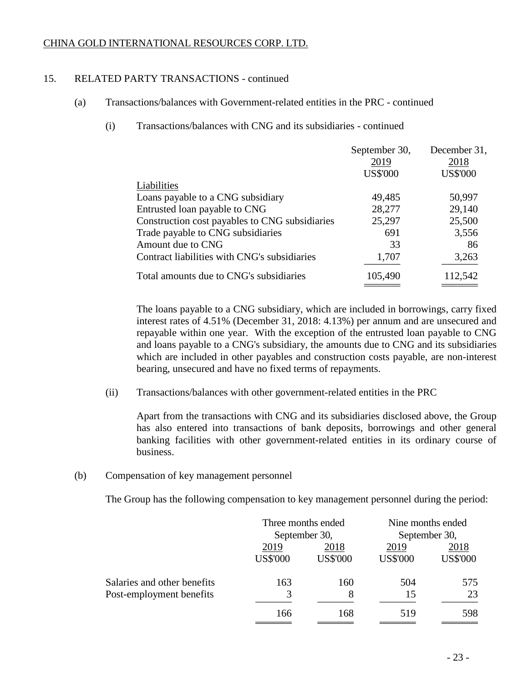### 15. RELATED PARTY TRANSACTIONS - continued

- (a) Transactions/balances with Government-related entities in the PRC continued
	- (i) Transactions/balances with CNG and its subsidiaries continued

|                                                | September 30,   | December 31,    |
|------------------------------------------------|-----------------|-----------------|
|                                                | 2019            | 2018            |
|                                                | <b>US\$'000</b> | <b>US\$'000</b> |
| Liabilities                                    |                 |                 |
| Loans payable to a CNG subsidiary              | 49,485          | 50,997          |
| Entrusted loan payable to CNG                  | 28,277          | 29,140          |
| Construction cost payables to CNG subsidiaries | 25,297          | 25,500          |
| Trade payable to CNG subsidiaries              | 691             | 3,556           |
| Amount due to CNG                              | 33              | 86              |
| Contract liabilities with CNG's subsidiaries   | 1,707           | 3,263           |
| Total amounts due to CNG's subsidiaries        | 105,490         | 112,542         |

The loans payable to a CNG subsidiary, which are included in borrowings, carry fixed interest rates of 4.51% (December 31, 2018: 4.13%) per annum and are unsecured and repayable within one year. With the exception of the entrusted loan payable to CNG and loans payable to a CNG's subsidiary, the amounts due to CNG and its subsidiaries which are included in other payables and construction costs payable, are non-interest bearing, unsecured and have no fixed terms of repayments.

(ii) Transactions/balances with other government-related entities in the PRC

Apart from the transactions with CNG and its subsidiaries disclosed above, the Group has also entered into transactions of bank deposits, borrowings and other general banking facilities with other government-related entities in its ordinary course of business.

### (b) Compensation of key management personnel

The Group has the following compensation to key management personnel during the period:

|                             | Three months ended            |                 | Nine months ended<br>September 30, |                 |
|-----------------------------|-------------------------------|-----------------|------------------------------------|-----------------|
|                             | September 30,<br>2019<br>2018 |                 | 2019                               | 2018            |
|                             | <b>US\$'000</b>               | <b>US\$'000</b> | <b>US\$'000</b>                    | <b>US\$'000</b> |
| Salaries and other benefits | 163                           | 160             | 504                                | 575             |
| Post-employment benefits    | 3                             | 8               | 15                                 | 23              |
|                             | 166                           | 168             | 519                                | 598             |
|                             |                               |                 |                                    |                 |